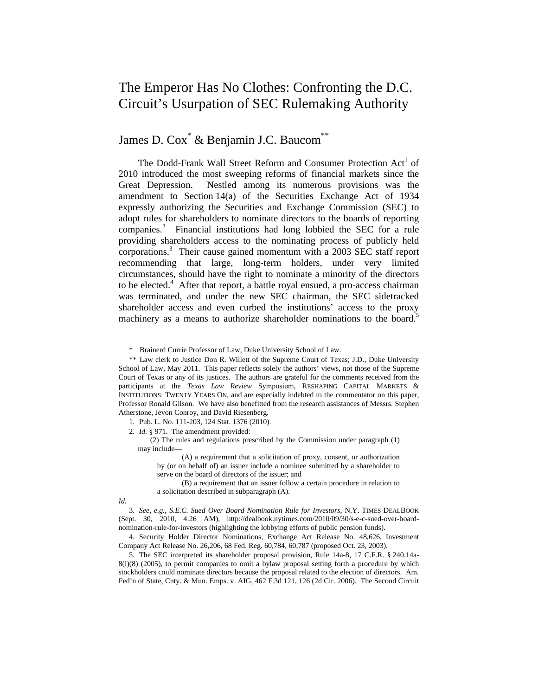# The Emperor Has No Clothes: Confronting the D.C. Circuit's Usurpation of SEC Rulemaking Authority

James D. Cox<sup>\*</sup> & Benjamin J.C. Baucom<sup>\*\*</sup>

The Dodd-Frank Wall Street Reform and Consumer Protection Act<sup>1</sup> of 2010 introduced the most sweeping reforms of financial markets since the Great Depression. Nestled among its numerous provisions was the amendment to Section 14(a) of the Securities Exchange Act of 1934 expressly authorizing the Securities and Exchange Commission (SEC) to adopt rules for shareholders to nominate directors to the boards of reporting companies.<sup>2</sup> Financial institutions had long lobbied the SEC for a rule providing shareholders access to the nominating process of publicly held corporations.3 Their cause gained momentum with a 2003 SEC staff report recommending that large, long-term holders, under very limited circumstances, should have the right to nominate a minority of the directors to be elected.<sup>4</sup> After that report, a battle royal ensued, a pro-access chairman was terminated, and under the new SEC chairman, the SEC sidetracked shareholder access and even curbed the institutions' access to the proxy machinery as a means to authorize shareholder nominations to the board.<sup>5</sup>

 (2) The rules and regulations prescribed by the Commission under paragraph (1) may include—

 (B) a requirement that an issuer follow a certain procedure in relation to a solicitation described in subparagraph (A).

*Id.* 

3. *See, e.g.*, *S.E.C. Sued Over Board Nomination Rule for Investors*, N.Y. TIMES DEALBOOK (Sept. 30, 2010, 4:26 AM), http://dealbook.nytimes.com/2010/09/30/s-e-c-sued-over-boardnomination-rule-for-investors (highlighting the lobbying efforts of public pension funds).

<sup>\*</sup> Brainerd Currie Professor of Law, Duke University School of Law.

<sup>\*\*</sup> Law clerk to Justice Don R. Willett of the Supreme Court of Texas; J.D., Duke University School of Law, May 2011. This paper reflects solely the authors' views, not those of the Supreme Court of Texas or any of its justices. The authors are grateful for the comments received from the participants at the *Texas Law Review* Symposium, RESHAPING CAPITAL MARKETS & INSTITUTIONS: TWENTY YEARS ON, and are especially indebted to the commentator on this paper, Professor Ronald Gilson. We have also benefitted from the research assistances of Messrs. Stephen Atherstone, Jevon Conroy, and David Riesenberg.

<sup>1.</sup> Pub. L. No. 111-203, 124 Stat. 1376 (2010).

<sup>2.</sup> *Id.* § 971. The amendment provided:

 <sup>(</sup>A) a requirement that a solicitation of proxy, consent, or authorization by (or on behalf of) an issuer include a nominee submitted by a shareholder to serve on the board of directors of the issuer; and

<sup>4.</sup> Security Holder Director Nominations, Exchange Act Release No. 48,626, Investment Company Act Release No. 26,206, 68 Fed. Reg. 60,784, 60,787 (proposed Oct. 23, 2003).

<sup>5.</sup> The SEC interpreted its shareholder proposal provision, Rule 14a-8, 17 C.F.R. § 240.14a-8(i)(8) (2005), to permit companies to omit a bylaw proposal setting forth a procedure by which stockholders could nominate directors because the proposal related to the election of directors. Am. Fed'n of State, Cnty. & Mun. Emps. v. AIG, 462 F.3d 121, 126 (2d Cir. 2006). The Second Circuit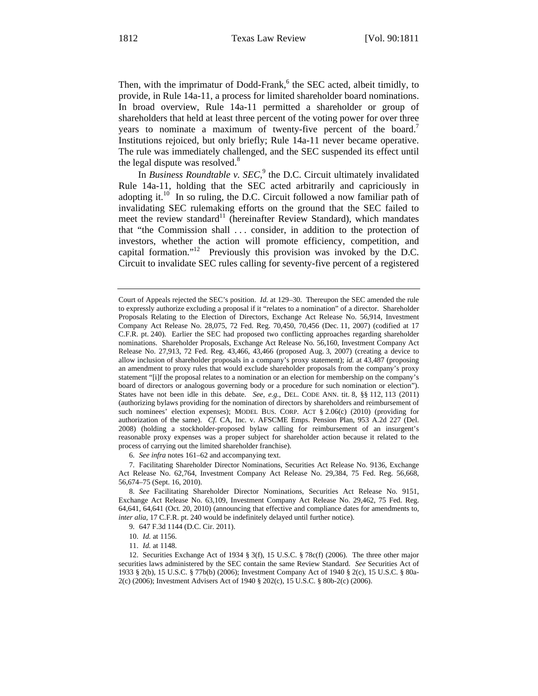Then, with the imprimatur of Dodd-Frank,<sup>6</sup> the SEC acted, albeit timidly, to provide, in Rule 14a-11, a process for limited shareholder board nominations. In broad overview, Rule 14a-11 permitted a shareholder or group of shareholders that held at least three percent of the voting power for over three years to nominate a maximum of twenty-five percent of the board.<sup>7</sup> Institutions rejoiced, but only briefly; Rule 14a-11 never became operative. The rule was immediately challenged, and the SEC suspended its effect until the legal dispute was resolved.<sup>8</sup>

In *Business Roundtable v. SEC*, <sup>9</sup> the D.C. Circuit ultimately invalidated Rule 14a-11, holding that the SEC acted arbitrarily and capriciously in adopting it.10 In so ruling, the D.C. Circuit followed a now familiar path of invalidating SEC rulemaking efforts on the ground that the SEC failed to meet the review standard<sup>11</sup> (hereinafter Review Standard), which mandates that "the Commission shall . . . consider, in addition to the protection of investors, whether the action will promote efficiency, competition, and capital formation."<sup>12</sup> Previously this provision was invoked by the D.C. Circuit to invalidate SEC rules calling for seventy-five percent of a registered

6. *See infra* notes 161–62 and accompanying text.

7. Facilitating Shareholder Director Nominations, Securities Act Release No. 9136, Exchange Act Release No. 62,764, Investment Company Act Release No. 29,384, 75 Fed. Reg. 56,668, 56,674–75 (Sept. 16, 2010).

8. *See* Facilitating Shareholder Director Nominations, Securities Act Release No. 9151, Exchange Act Release No. 63,109, Investment Company Act Release No. 29,462, 75 Fed. Reg. 64,641, 64,641 (Oct. 20, 2010) (announcing that effective and compliance dates for amendments to, *inter alia*, 17 C.F.R. pt. 240 would be indefinitely delayed until further notice).

9. 647 F.3d 1144 (D.C. Cir. 2011).

10. *Id.* at 1156.

11. *Id.* at 1148.

12. Securities Exchange Act of 1934 § 3(f), 15 U.S.C. § 78c(f) (2006). The three other major securities laws administered by the SEC contain the same Review Standard. *See* Securities Act of 1933 § 2(b), 15 U.S.C. § 77b(b) (2006); Investment Company Act of 1940 § 2(c), 15 U.S.C. § 80a-2(c) (2006); Investment Advisers Act of 1940 § 202(c), 15 U.S.C. § 80b-2(c) (2006).

Court of Appeals rejected the SEC's position. *Id.* at 129–30. Thereupon the SEC amended the rule to expressly authorize excluding a proposal if it "relates to a nomination" of a director. Shareholder Proposals Relating to the Election of Directors, Exchange Act Release No. 56,914, Investment Company Act Release No. 28,075, 72 Fed. Reg. 70,450, 70,456 (Dec. 11, 2007) (codified at 17 C.F.R. pt. 240). Earlier the SEC had proposed two conflicting approaches regarding shareholder nominations. Shareholder Proposals, Exchange Act Release No. 56,160, Investment Company Act Release No. 27,913, 72 Fed. Reg. 43,466, 43,466 (proposed Aug. 3, 2007) (creating a device to allow inclusion of shareholder proposals in a company's proxy statement); *id.* at 43,487 (proposing an amendment to proxy rules that would exclude shareholder proposals from the company's proxy statement "[i]f the proposal relates to a nomination or an election for membership on the company's board of directors or analogous governing body or a procedure for such nomination or election"). States have not been idle in this debate. *See, e.g.*, DEL. CODE ANN. tit. 8, §§ 112, 113 (2011) (authorizing bylaws providing for the nomination of directors by shareholders and reimbursement of such nominees' election expenses); MODEL BUS. CORP. ACT § 2.06(c) (2010) (providing for authorization of the same). *Cf.* CA, Inc. v. AFSCME Emps. Pension Plan, 953 A.2d 227 (Del. 2008) (holding a stockholder-proposed bylaw calling for reimbursement of an insurgent's reasonable proxy expenses was a proper subject for shareholder action because it related to the process of carrying out the limited shareholder franchise).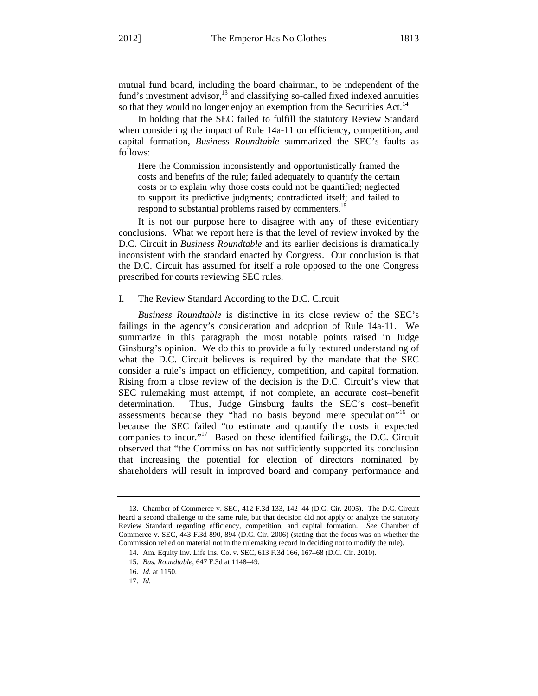mutual fund board, including the board chairman, to be independent of the fund's investment advisor, $^{13}$  and classifying so-called fixed indexed annuities so that they would no longer enjoy an exemption from the Securities Act.<sup>14</sup>

In holding that the SEC failed to fulfill the statutory Review Standard when considering the impact of Rule 14a-11 on efficiency, competition, and capital formation, *Business Roundtable* summarized the SEC's faults as follows:

Here the Commission inconsistently and opportunistically framed the costs and benefits of the rule; failed adequately to quantify the certain costs or to explain why those costs could not be quantified; neglected to support its predictive judgments; contradicted itself; and failed to respond to substantial problems raised by commenters.<sup>15</sup>

It is not our purpose here to disagree with any of these evidentiary conclusions. What we report here is that the level of review invoked by the D.C. Circuit in *Business Roundtable* and its earlier decisions is dramatically inconsistent with the standard enacted by Congress. Our conclusion is that the D.C. Circuit has assumed for itself a role opposed to the one Congress prescribed for courts reviewing SEC rules.

## I. The Review Standard According to the D.C. Circuit

*Business Roundtable* is distinctive in its close review of the SEC's failings in the agency's consideration and adoption of Rule 14a-11. We summarize in this paragraph the most notable points raised in Judge Ginsburg's opinion. We do this to provide a fully textured understanding of what the D.C. Circuit believes is required by the mandate that the SEC consider a rule's impact on efficiency, competition, and capital formation. Rising from a close review of the decision is the D.C. Circuit's view that SEC rulemaking must attempt, if not complete, an accurate cost–benefit determination. Thus, Judge Ginsburg faults the SEC's cost–benefit assessments because they "had no basis beyond mere speculation"16 or because the SEC failed "to estimate and quantify the costs it expected companies to incur."<sup>17</sup> Based on these identified failings, the D.C. Circuit observed that "the Commission has not sufficiently supported its conclusion that increasing the potential for election of directors nominated by shareholders will result in improved board and company performance and

<sup>13.</sup> Chamber of Commerce v. SEC, 412 F.3d 133, 142–44 (D.C. Cir. 2005). The D.C. Circuit heard a second challenge to the same rule, but that decision did not apply or analyze the statutory Review Standard regarding efficiency, competition, and capital formation. *See* Chamber of Commerce v. SEC, 443 F.3d 890, 894 (D.C. Cir. 2006) (stating that the focus was on whether the Commission relied on material not in the rulemaking record in deciding not to modify the rule).

<sup>14.</sup> Am. Equity Inv. Life Ins. Co. v. SEC, 613 F.3d 166, 167–68 (D.C. Cir. 2010).

<sup>15.</sup> *Bus. Roundtable*, 647 F.3d at 1148–49.

<sup>16.</sup> *Id.* at 1150.

<sup>17.</sup> *Id.*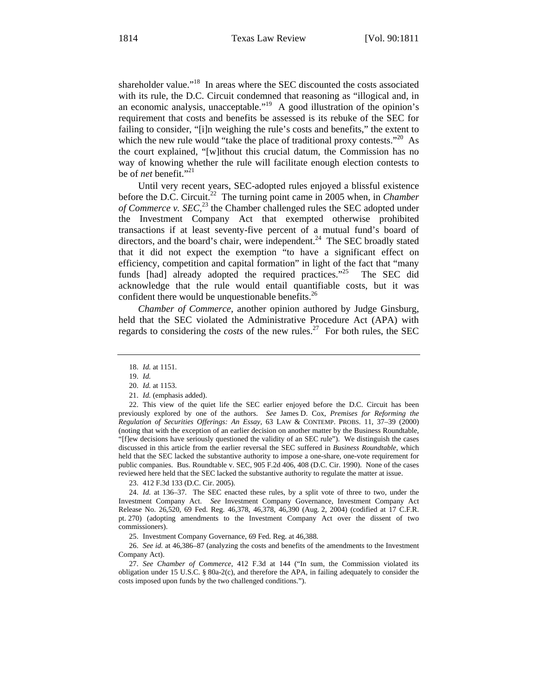shareholder value."<sup>18</sup> In areas where the SEC discounted the costs associated with its rule, the D.C. Circuit condemned that reasoning as "illogical and, in an economic analysis, unacceptable."<sup>19</sup> A good illustration of the opinion's requirement that costs and benefits be assessed is its rebuke of the SEC for failing to consider, "[i]n weighing the rule's costs and benefits," the extent to which the new rule would "take the place of traditional proxy contests."<sup>20</sup> As the court explained, "[w]ithout this crucial datum, the Commission has no way of knowing whether the rule will facilitate enough election contests to be of *net* benefit."<sup>21</sup>

Until very recent years, SEC-adopted rules enjoyed a blissful existence before the D.C. Circuit.<sup>22</sup> The turning point came in 2005 when, in *Chamber of Commerce v. SEC*, <sup>23</sup> the Chamber challenged rules the SEC adopted under the Investment Company Act that exempted otherwise prohibited transactions if at least seventy-five percent of a mutual fund's board of directors, and the board's chair, were independent. $^{24}$  The SEC broadly stated that it did not expect the exemption "to have a significant effect on efficiency, competition and capital formation" in light of the fact that "many funds [had] already adopted the required practices."<sup>25</sup> The SEC did acknowledge that the rule would entail quantifiable costs, but it was confident there would be unquestionable benefits. $^{26}$ 

*Chamber of Commerce*, another opinion authored by Judge Ginsburg, held that the SEC violated the Administrative Procedure Act (APA) with regards to considering the *costs* of the new rules.<sup>27</sup> For both rules, the SEC

23. 412 F.3d 133 (D.C. Cir. 2005).

24. *Id.* at 136–37. The SEC enacted these rules, by a split vote of three to two, under the Investment Company Act. *See* Investment Company Governance, Investment Company Act Release No. 26,520, 69 Fed. Reg. 46,378, 46,378, 46,390 (Aug. 2, 2004) (codified at 17 C.F.R. pt. 270) (adopting amendments to the Investment Company Act over the dissent of two commissioners).

25. Investment Company Governance, 69 Fed. Reg. at 46,388.

26. *See id.* at 46,386–87 (analyzing the costs and benefits of the amendments to the Investment Company Act).

27. *See Chamber of Commerce*, 412 F.3d at 144 ("In sum, the Commission violated its obligation under 15 U.S.C. § 80a-2(c), and therefore the APA, in failing adequately to consider the costs imposed upon funds by the two challenged conditions.").

<sup>18.</sup> *Id.* at 1151.

<sup>19.</sup> *Id.*

<sup>20.</sup> *Id.* at 1153.

<sup>21.</sup> *Id.* (emphasis added).

<sup>22.</sup> This view of the quiet life the SEC earlier enjoyed before the D.C. Circuit has been previously explored by one of the authors. *See* James D. Cox, *Premises for Reforming the Regulation of Securities Offerings: An Essay*, 63 LAW & CONTEMP. PROBS. 11, 37–39 (2000) (noting that with the exception of an earlier decision on another matter by the Business Roundtable, "[f]ew decisions have seriously questioned the validity of an SEC rule"). We distinguish the cases discussed in this article from the earlier reversal the SEC suffered in *Business Roundtable*, which held that the SEC lacked the substantive authority to impose a one-share, one-vote requirement for public companies. Bus. Roundtable v. SEC, 905 F.2d 406, 408 (D.C. Cir. 1990). None of the cases reviewed here held that the SEC lacked the substantive authority to regulate the matter at issue.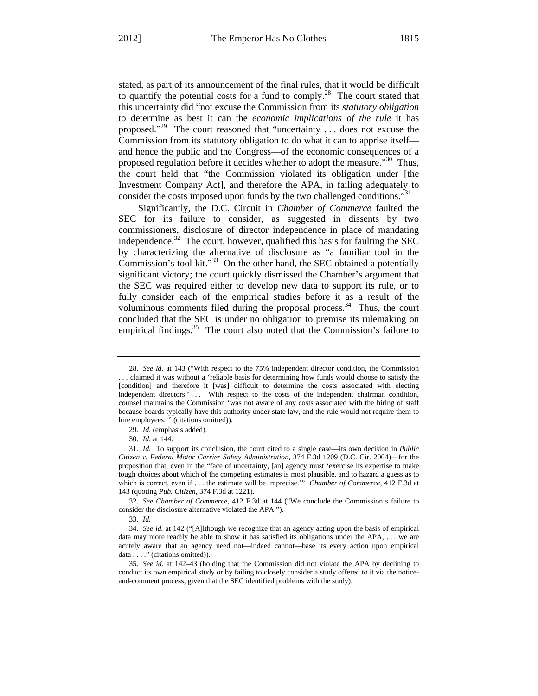stated, as part of its announcement of the final rules, that it would be difficult to quantify the potential costs for a fund to comply.<sup>28</sup> The court stated that this uncertainty did "not excuse the Commission from its *statutory obligation*  to determine as best it can the *economic implications of the rule* it has proposed."29 The court reasoned that "uncertainty . . . does not excuse the Commission from its statutory obligation to do what it can to apprise itself and hence the public and the Congress—of the economic consequences of a proposed regulation before it decides whether to adopt the measure."<sup>30</sup> Thus, the court held that "the Commission violated its obligation under [the Investment Company Act], and therefore the APA, in failing adequately to consider the costs imposed upon funds by the two challenged conditions."<sup>31</sup>

Significantly, the D.C. Circuit in *Chamber of Commerce* faulted the SEC for its failure to consider, as suggested in dissents by two commissioners, disclosure of director independence in place of mandating independence.<sup>32</sup> The court, however, qualified this basis for faulting the SEC by characterizing the alternative of disclosure as "a familiar tool in the Commission's tool kit."<sup>33</sup> On the other hand, the SEC obtained a potentially significant victory; the court quickly dismissed the Chamber's argument that the SEC was required either to develop new data to support its rule, or to fully consider each of the empirical studies before it as a result of the voluminous comments filed during the proposal process. $34$  Thus, the court concluded that the SEC is under no obligation to premise its rulemaking on empirical findings.<sup>35</sup> The court also noted that the Commission's failure to

<sup>28.</sup> *See id.* at 143 ("With respect to the 75% independent director condition, the Commission . . . claimed it was without a 'reliable basis for determining how funds would choose to satisfy the [condition] and therefore it [was] difficult to determine the costs associated with electing independent directors.'... With respect to the costs of the independent chairman condition, counsel maintains the Commission 'was not aware of any costs associated with the hiring of staff because boards typically have this authority under state law, and the rule would not require them to hire employees."" (citations omitted)).

<sup>29.</sup> *Id.* (emphasis added).

<sup>30.</sup> *Id.* at 144.

<sup>31.</sup> *Id.* To support its conclusion, the court cited to a single case—its own decision in *Public Citizen v. Federal Motor Carrier Safety Administration*, 374 F.3d 1209 (D.C. Cir. 2004)—for the proposition that, even in the "face of uncertainty, [an] agency must 'exercise its expertise to make tough choices about which of the competing estimates is most plausible, and to hazard a guess as to which is correct, even if . . . the estimate will be imprecise.'" *Chamber of Commerce*, 412 F.3d at 143 (quoting *Pub. Citizen*, 374 F.3d at 1221).

<sup>32.</sup> *See Chamber of Commerce*, 412 F.3d at 144 ("We conclude the Commission's failure to consider the disclosure alternative violated the APA.").

<sup>33.</sup> *Id.*

<sup>34.</sup> *See id.* at 142 ("[A]lthough we recognize that an agency acting upon the basis of empirical data may more readily be able to show it has satisfied its obligations under the APA, . . . we are acutely aware that an agency need not—indeed cannot—base its every action upon empirical data . . . ." (citations omitted)).

<sup>35.</sup> *See id.* at 142–43 (holding that the Commission did not violate the APA by declining to conduct its own empirical study or by failing to closely consider a study offered to it via the noticeand-comment process, given that the SEC identified problems with the study).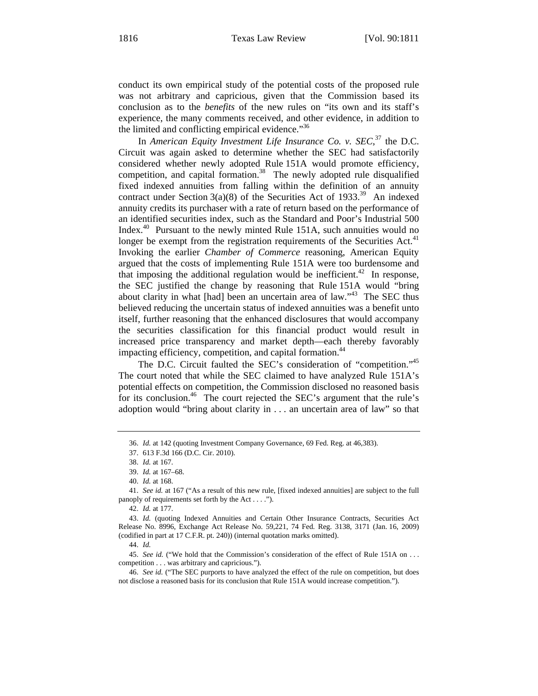conduct its own empirical study of the potential costs of the proposed rule was not arbitrary and capricious, given that the Commission based its conclusion as to the *benefits* of the new rules on "its own and its staff's experience, the many comments received, and other evidence, in addition to the limited and conflicting empirical evidence."<sup>36</sup>

In *American Equity Investment Life Insurance Co. v. SEC*,<sup>37</sup> the D.C. Circuit was again asked to determine whether the SEC had satisfactorily considered whether newly adopted Rule 151A would promote efficiency, competition, and capital formation.<sup>38</sup> The newly adopted rule disqualified fixed indexed annuities from falling within the definition of an annuity contract under Section 3(a)(8) of the Securities Act of 1933.<sup>39</sup> An indexed annuity credits its purchaser with a rate of return based on the performance of an identified securities index, such as the Standard and Poor's Industrial 500 Index.40 Pursuant to the newly minted Rule 151A, such annuities would no longer be exempt from the registration requirements of the Securities Act.<sup>41</sup> Invoking the earlier *Chamber of Commerce* reasoning, American Equity argued that the costs of implementing Rule 151A were too burdensome and that imposing the additional regulation would be inefficient.<sup>42</sup> In response, the SEC justified the change by reasoning that Rule 151A would "bring about clarity in what [had] been an uncertain area of law."43 The SEC thus believed reducing the uncertain status of indexed annuities was a benefit unto itself, further reasoning that the enhanced disclosures that would accompany the securities classification for this financial product would result in increased price transparency and market depth—each thereby favorably impacting efficiency, competition, and capital formation.<sup>44</sup>

The D.C. Circuit faulted the SEC's consideration of "competition."<sup>45</sup> The court noted that while the SEC claimed to have analyzed Rule 151A's potential effects on competition, the Commission disclosed no reasoned basis for its conclusion.<sup>46</sup> The court rejected the SEC's argument that the rule's adoption would "bring about clarity in . . . an uncertain area of law" so that

45. *See id.* ("We hold that the Commission's consideration of the effect of Rule 151A on . . . competition . . . was arbitrary and capricious.").

46. *See id.* ("The SEC purports to have analyzed the effect of the rule on competition, but does not disclose a reasoned basis for its conclusion that Rule 151A would increase competition.").

<sup>36.</sup> *Id.* at 142 (quoting Investment Company Governance, 69 Fed. Reg. at 46,383).

<sup>37. 613</sup> F.3d 166 (D.C. Cir. 2010).

<sup>38.</sup> *Id.* at 167.

<sup>39.</sup> *Id.* at 167–68.

<sup>40.</sup> *Id.* at 168.

<sup>41.</sup> *See id.* at 167 ("As a result of this new rule, [fixed indexed annuities] are subject to the full panoply of requirements set forth by the Act . . . .").

<sup>42.</sup> *Id.* at 177.

<sup>43.</sup> *Id.* (quoting Indexed Annuities and Certain Other Insurance Contracts, Securities Act Release No. 8996, Exchange Act Release No. 59,221, 74 Fed. Reg. 3138, 3171 (Jan. 16, 2009) (codified in part at 17 C.F.R. pt. 240)) (internal quotation marks omitted).

<sup>44.</sup> *Id.*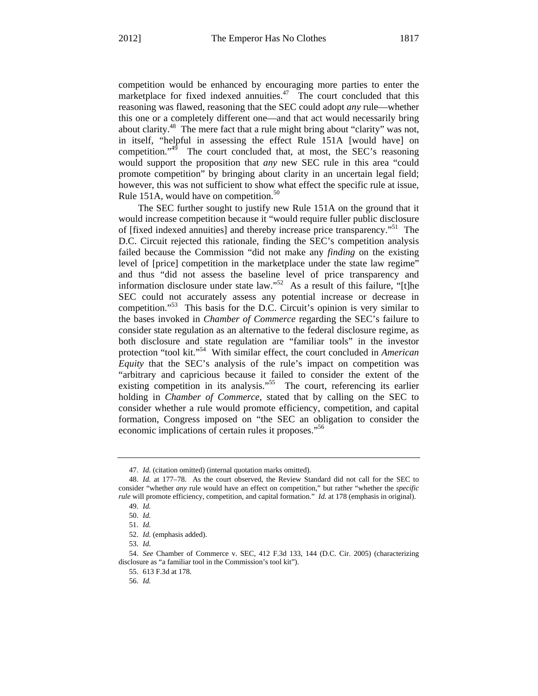competition would be enhanced by encouraging more parties to enter the marketplace for fixed indexed annuities.<sup>47</sup> The court concluded that this reasoning was flawed, reasoning that the SEC could adopt *any* rule—whether this one or a completely different one—and that act would necessarily bring about clarity.48 The mere fact that a rule might bring about "clarity" was not, in itself, "helpful in assessing the effect Rule 151A [would have] on competition."49 The court concluded that, at most, the SEC's reasoning would support the proposition that *any* new SEC rule in this area "could promote competition" by bringing about clarity in an uncertain legal field; however, this was not sufficient to show what effect the specific rule at issue, Rule 151A, would have on competition.<sup>50</sup>

The SEC further sought to justify new Rule 151A on the ground that it would increase competition because it "would require fuller public disclosure of [fixed indexed annuities] and thereby increase price transparency."51 The D.C. Circuit rejected this rationale, finding the SEC's competition analysis failed because the Commission "did not make any *finding* on the existing level of [price] competition in the marketplace under the state law regime" and thus "did not assess the baseline level of price transparency and information disclosure under state law."52 As a result of this failure, "[t]he SEC could not accurately assess any potential increase or decrease in competition."53 This basis for the D.C. Circuit's opinion is very similar to the bases invoked in *Chamber of Commerce* regarding the SEC's failure to consider state regulation as an alternative to the federal disclosure regime, as both disclosure and state regulation are "familiar tools" in the investor protection "tool kit."54 With similar effect, the court concluded in *American Equity* that the SEC's analysis of the rule's impact on competition was "arbitrary and capricious because it failed to consider the extent of the existing competition in its analysis."<sup>55</sup> The court, referencing its earlier holding in *Chamber of Commerce*, stated that by calling on the SEC to consider whether a rule would promote efficiency, competition, and capital formation, Congress imposed on "the SEC an obligation to consider the economic implications of certain rules it proposes."<sup>56</sup>

<sup>47.</sup> *Id.* (citation omitted) (internal quotation marks omitted).

<sup>48.</sup> *Id.* at 177–78. As the court observed, the Review Standard did not call for the SEC to consider "whether *any* rule would have an effect on competition," but rather "whether the *specific rule* will promote efficiency, competition, and capital formation." *Id.* at 178 (emphasis in original).

<sup>49.</sup> *Id.*

<sup>50.</sup> *Id.*

<sup>51.</sup> *Id.*

<sup>52.</sup> *Id.* (emphasis added).

<sup>53.</sup> *Id.*

<sup>54.</sup> *See* Chamber of Commerce v. SEC, 412 F.3d 133, 144 (D.C. Cir. 2005) (characterizing disclosure as "a familiar tool in the Commission's tool kit").

<sup>55. 613</sup> F.3d at 178.

<sup>56.</sup> *Id.*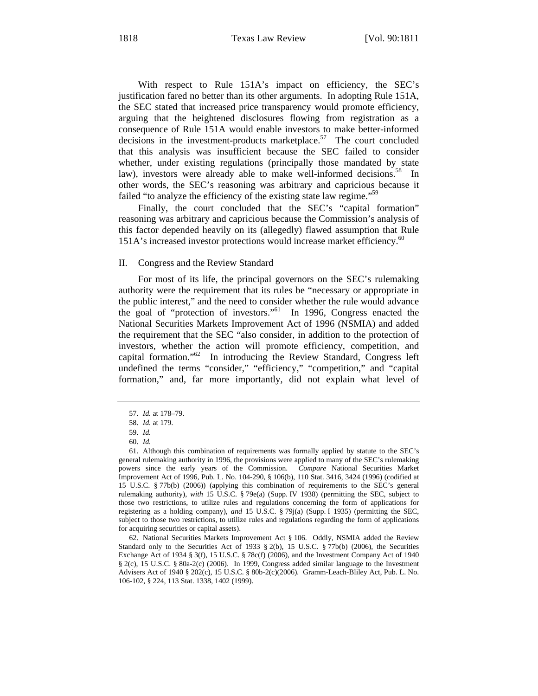With respect to Rule 151A's impact on efficiency, the SEC's justification fared no better than its other arguments. In adopting Rule 151A, the SEC stated that increased price transparency would promote efficiency, arguing that the heightened disclosures flowing from registration as a consequence of Rule 151A would enable investors to make better-informed decisions in the investment-products marketplace. $57$  The court concluded that this analysis was insufficient because the SEC failed to consider whether, under existing regulations (principally those mandated by state law), investors were already able to make well-informed decisions.<sup>58</sup> In other words, the SEC's reasoning was arbitrary and capricious because it failed "to analyze the efficiency of the existing state law regime."<sup>59</sup>

Finally, the court concluded that the SEC's "capital formation" reasoning was arbitrary and capricious because the Commission's analysis of this factor depended heavily on its (allegedly) flawed assumption that Rule 151A's increased investor protections would increase market efficiency.<sup>60</sup>

#### II. Congress and the Review Standard

For most of its life, the principal governors on the SEC's rulemaking authority were the requirement that its rules be "necessary or appropriate in the public interest," and the need to consider whether the rule would advance the goal of "protection of investors."61 In 1996, Congress enacted the National Securities Markets Improvement Act of 1996 (NSMIA) and added the requirement that the SEC "also consider, in addition to the protection of investors, whether the action will promote efficiency, competition, and capital formation."62 In introducing the Review Standard, Congress left undefined the terms "consider," "efficiency," "competition," and "capital formation," and, far more importantly, did not explain what level of

<sup>57.</sup> *Id.* at 178–79.

<sup>58.</sup> *Id.* at 179.

<sup>59.</sup> *Id.*

<sup>60.</sup> *Id.*

<sup>61.</sup> Although this combination of requirements was formally applied by statute to the SEC's general rulemaking authority in 1996, the provisions were applied to many of the SEC's rulemaking powers since the early years of the Commission. *Compare* National Securities Market Improvement Act of 1996, Pub. L. No. 104-290, § 106(b), 110 Stat. 3416, 3424 (1996) (codified at 15 U.S.C. § 77b(b) (2006)) (applying this combination of requirements to the SEC's general rulemaking authority), *with* 15 U.S.C. § 79e(a) (Supp. IV 1938) (permitting the SEC, subject to those two restrictions, to utilize rules and regulations concerning the form of applications for registering as a holding company), *and* 15 U.S.C. § 79j(a) (Supp. I 1935) (permitting the SEC, subject to those two restrictions, to utilize rules and regulations regarding the form of applications for acquiring securities or capital assets).

<sup>62.</sup> National Securities Markets Improvement Act § 106. Oddly, NSMIA added the Review Standard only to the Securities Act of 1933 § 2(b), 15 U.S.C. § 77b(b) (2006), the Securities Exchange Act of 1934 § 3(f), 15 U.S.C. § 78c(f) (2006), and the Investment Company Act of 1940 § 2(c), 15 U.S.C. § 80a-2(c) (2006). In 1999, Congress added similar language to the Investment Advisers Act of 1940 § 202(c), 15 U.S.C. § 80b-2(c)(2006)*.* Gramm-Leach-Bliley Act, Pub. L. No. 106-102, § 224, 113 Stat. 1338, 1402 (1999).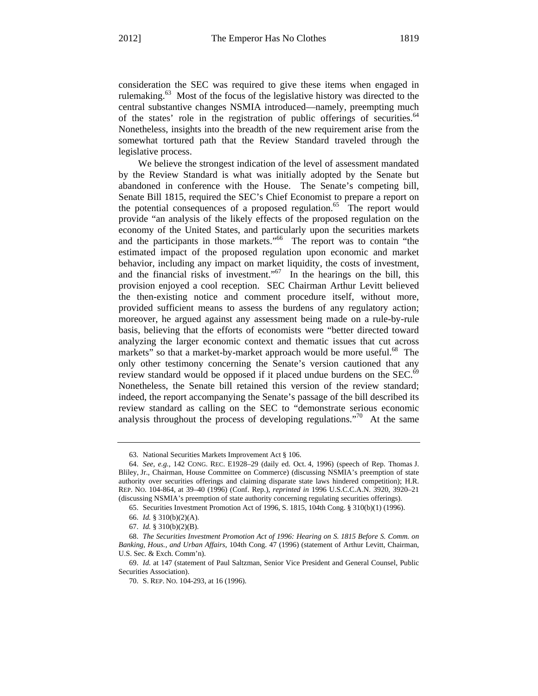consideration the SEC was required to give these items when engaged in rulemaking.<sup>63</sup> Most of the focus of the legislative history was directed to the central substantive changes NSMIA introduced—namely, preempting much of the states' role in the registration of public offerings of securities.<sup>64</sup> Nonetheless, insights into the breadth of the new requirement arise from the somewhat tortured path that the Review Standard traveled through the legislative process.

We believe the strongest indication of the level of assessment mandated by the Review Standard is what was initially adopted by the Senate but abandoned in conference with the House. The Senate's competing bill, Senate Bill 1815, required the SEC's Chief Economist to prepare a report on the potential consequences of a proposed regulation.<sup>65</sup> The report would provide "an analysis of the likely effects of the proposed regulation on the economy of the United States, and particularly upon the securities markets and the participants in those markets."66 The report was to contain "the estimated impact of the proposed regulation upon economic and market behavior, including any impact on market liquidity, the costs of investment, and the financial risks of investment."<sup>67</sup> In the hearings on the bill, this provision enjoyed a cool reception. SEC Chairman Arthur Levitt believed the then-existing notice and comment procedure itself, without more, provided sufficient means to assess the burdens of any regulatory action; moreover, he argued against any assessment being made on a rule-by-rule basis, believing that the efforts of economists were "better directed toward analyzing the larger economic context and thematic issues that cut across markets" so that a market-by-market approach would be more useful.<sup>68</sup> The only other testimony concerning the Senate's version cautioned that any review standard would be opposed if it placed undue burdens on the SEC.<sup>69</sup> Nonetheless, the Senate bill retained this version of the review standard; indeed, the report accompanying the Senate's passage of the bill described its review standard as calling on the SEC to "demonstrate serious economic analysis throughout the process of developing regulations.<sup> $70$ </sup> At the same

<sup>63.</sup> National Securities Markets Improvement Act § 106.

<sup>64.</sup> *See, e.g.*, 142 CONG. REC. E1928–29 (daily ed. Oct. 4, 1996) (speech of Rep. Thomas J. Bliley, Jr., Chairman, House Committee on Commerce) (discussing NSMIA's preemption of state authority over securities offerings and claiming disparate state laws hindered competition); H.R. REP. NO. 104-864, at 39–40 (1996) (Conf. Rep.), *reprinted in* 1996 U.S.C.C.A.N. 3920, 3920–21 (discussing NSMIA's preemption of state authority concerning regulating securities offerings).

<sup>65.</sup> Securities Investment Promotion Act of 1996, S. 1815, 104th Cong. § 310(b)(1) (1996).

<sup>66.</sup> *Id.* § 310(b)(2)(A).

<sup>67.</sup> *Id.* § 310(b)(2)(B).

<sup>68.</sup> *The Securities Investment Promotion Act of 1996: Hearing on S. 1815 Before S. Comm. on Banking, Hous., and Urban Affairs*, 104th Cong. 47 (1996) (statement of Arthur Levitt, Chairman, U.S. Sec. & Exch. Comm'n).

<sup>69.</sup> *Id.* at 147 (statement of Paul Saltzman, Senior Vice President and General Counsel, Public Securities Association).

<sup>70.</sup> S. REP. NO. 104-293, at 16 (1996).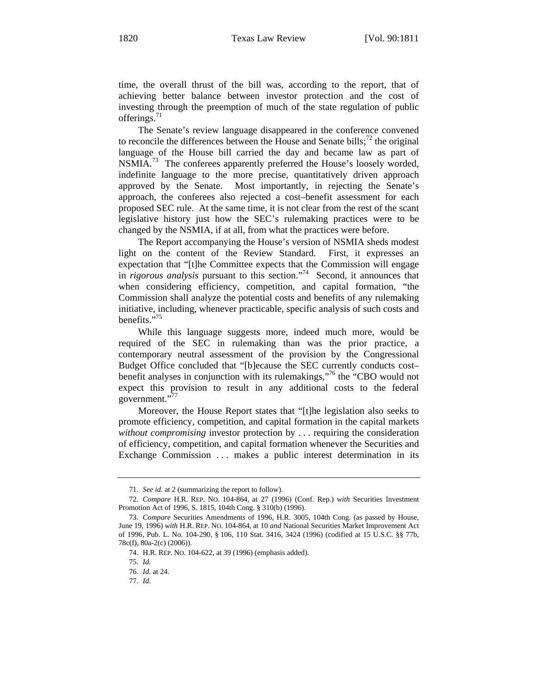time, the overall thrust of the bill was, according to the report, that of achieving better balance between investor protection and the cost of investing through the preemption of much of the state regulation of public offerings. $71$ 

The Senate's review language disappeared in the conference convened to reconcile the differences between the House and Senate bills;<sup>72</sup> the original language of the House bill carried the day and became law as part of NSMIA.<sup>73</sup> The conferees apparently preferred the House's loosely worded, indefinite language to the more precise, quantitatively driven approach approved by the Senate. Most importantly, in rejecting the Senate's approach, the conferees also rejected a cost–benefit assessment for each proposed SEC rule. At the same time, it is not clear from the rest of the scant legislative history just how the SEC's rulemaking practices were to be changed by the NSMIA, if at all, from what the practices were before.

The Report accompanying the House's version of NSMIA sheds modest light on the content of the Review Standard. First, it expresses an expectation that "[t]he Committee expects that the Commission will engage in *rigorous analysis* pursuant to this section."74 Second, it announces that when considering efficiency, competition, and capital formation, "the Commission shall analyze the potential costs and benefits of any rulemaking initiative, including, whenever practicable, specific analysis of such costs and benefits."<sup>75</sup>

While this language suggests more, indeed much more, would be required of the SEC in rulemaking than was the prior practice, a contemporary neutral assessment of the provision by the Congressional Budget Office concluded that "[b]ecause the SEC currently conducts cost– benefit analyses in conjunction with its rulemakings,"76 the "CBO would not expect this provision to result in any additional costs to the federal government."

Moreover, the House Report states that "[t]he legislation also seeks to promote efficiency, competition, and capital formation in the capital markets *without compromising* investor protection by . . . requiring the consideration of efficiency, competition, and capital formation whenever the Securities and Exchange Commission ... makes a public interest determination in its

<sup>71.</sup> *See id.* at 2 (summarizing the report to follow).

<sup>72.</sup> *Compare* H.R. REP. NO. 104-864, at 27 (1996) (Conf. Rep.) *with* Securities Investment Promotion Act of 1996, S. 1815, 104th Cong. § 310(b) (1996).

<sup>73.</sup> *Compare* Securities Amendments of 1996, H.R. 3005, 104th Cong. (as passed by House, June 19, 1996) *with* H.R. REP. NO. 104-864, at 10 *and* National Securities Market Improvement Act of 1996, Pub. L. No. 104-290, § 106, 110 Stat. 3416, 3424 (1996) (codified at 15 U.S.C. §§ 77b, 78c(f), 80a-2(c) (2006)).

<sup>74.</sup> H.R. REP. NO. 104-622, at 39 (1996) (emphasis added).

<sup>75.</sup> *Id.*

<sup>76.</sup> *Id.* at 24.

<sup>77.</sup> *Id.*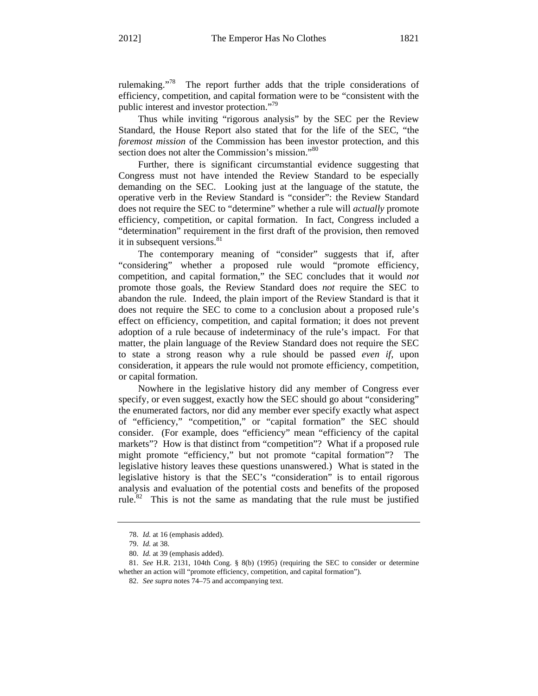rulemaking."78 The report further adds that the triple considerations of efficiency, competition, and capital formation were to be "consistent with the public interest and investor protection."<sup>79</sup>

Thus while inviting "rigorous analysis" by the SEC per the Review Standard, the House Report also stated that for the life of the SEC, "the *foremost mission* of the Commission has been investor protection, and this section does not alter the Commission's mission."<sup>80</sup>

Further, there is significant circumstantial evidence suggesting that Congress must not have intended the Review Standard to be especially demanding on the SEC. Looking just at the language of the statute, the operative verb in the Review Standard is "consider": the Review Standard does not require the SEC to "determine" whether a rule will *actually* promote efficiency, competition, or capital formation. In fact, Congress included a "determination" requirement in the first draft of the provision, then removed it in subsequent versions.<sup>81</sup>

The contemporary meaning of "consider" suggests that if, after "considering" whether a proposed rule would "promote efficiency, competition, and capital formation," the SEC concludes that it would *not* promote those goals, the Review Standard does *not* require the SEC to abandon the rule. Indeed, the plain import of the Review Standard is that it does not require the SEC to come to a conclusion about a proposed rule's effect on efficiency, competition, and capital formation; it does not prevent adoption of a rule because of indeterminacy of the rule's impact. For that matter, the plain language of the Review Standard does not require the SEC to state a strong reason why a rule should be passed *even if*, upon consideration, it appears the rule would not promote efficiency, competition, or capital formation.

Nowhere in the legislative history did any member of Congress ever specify, or even suggest, exactly how the SEC should go about "considering" the enumerated factors, nor did any member ever specify exactly what aspect of "efficiency," "competition," or "capital formation" the SEC should consider. (For example, does "efficiency" mean "efficiency of the capital markets"? How is that distinct from "competition"? What if a proposed rule might promote "efficiency," but not promote "capital formation"? The legislative history leaves these questions unanswered.) What is stated in the legislative history is that the SEC's "consideration" is to entail rigorous analysis and evaluation of the potential costs and benefits of the proposed rule.<sup>82</sup> This is not the same as mandating that the rule must be justified

<sup>78.</sup> *Id.* at 16 (emphasis added).

<sup>79.</sup> *Id.* at 38.

<sup>80.</sup> *Id.* at 39 (emphasis added).

<sup>81.</sup> *See* H.R. 2131, 104th Cong. § 8(b) (1995) (requiring the SEC to consider or determine whether an action will "promote efficiency, competition, and capital formation").

<sup>82.</sup> *See supra* notes 74–75 and accompanying text.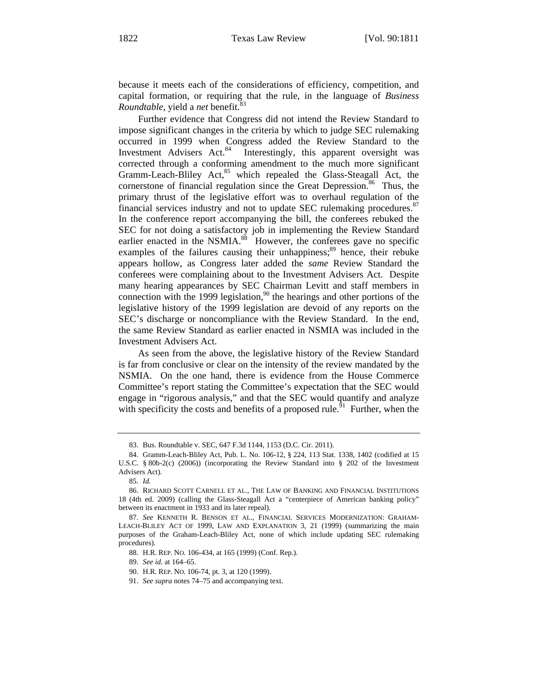because it meets each of the considerations of efficiency, competition, and capital formation, or requiring that the rule, in the language of *Business Roundtable*, yield a *net* benefit.<sup>83</sup>

Further evidence that Congress did not intend the Review Standard to impose significant changes in the criteria by which to judge SEC rulemaking occurred in 1999 when Congress added the Review Standard to the Investment Advisers Act. $84$  Interestingly, this apparent oversight was corrected through a conforming amendment to the much more significant Gramm-Leach-Bliley Act,<sup>85</sup> which repealed the Glass-Steagall Act, the cornerstone of financial regulation since the Great Depression.<sup>86</sup> Thus, the primary thrust of the legislative effort was to overhaul regulation of the financial services industry and not to update SEC rulemaking procedures.<sup>87</sup> In the conference report accompanying the bill, the conferees rebuked the SEC for not doing a satisfactory job in implementing the Review Standard earlier enacted in the NSMIA.<sup>88</sup> However, the conferees gave no specific examples of the failures causing their unhappiness; $89$  hence, their rebuke appears hollow, as Congress later added the *same* Review Standard the conferees were complaining about to the Investment Advisers Act. Despite many hearing appearances by SEC Chairman Levitt and staff members in connection with the 1999 legislation,<sup>90</sup> the hearings and other portions of the legislative history of the 1999 legislation are devoid of any reports on the SEC's discharge or noncompliance with the Review Standard. In the end, the same Review Standard as earlier enacted in NSMIA was included in the Investment Advisers Act.

As seen from the above, the legislative history of the Review Standard is far from conclusive or clear on the intensity of the review mandated by the NSMIA. On the one hand, there is evidence from the House Commerce Committee's report stating the Committee's expectation that the SEC would engage in "rigorous analysis," and that the SEC would quantify and analyze with specificity the costs and benefits of a proposed rule.<sup>91</sup> Further, when the

88. H.R. REP. NO. 106-434, at 165 (1999) (Conf. Rep.).

89. *See id.* at 164–65.

90. H.R. REP. NO. 106-74, pt. 3, at 120 (1999).

<sup>83.</sup> Bus. Roundtable v. SEC, 647 F.3d 1144, 1153 (D.C. Cir. 2011).

<sup>84.</sup> Gramm-Leach-Bliley Act, Pub. L. No. 106-12, § 224, 113 Stat. 1338, 1402 (codified at 15 U.S.C. § 80b-2(c) (2006)) (incorporating the Review Standard into § 202 of the Investment Advisers Act).

<sup>85.</sup> *Id.*

<sup>86.</sup> RICHARD SCOTT CARNELL ET AL., THE LAW OF BANKING AND FINANCIAL INSTITUTIONS 18 (4th ed. 2009) (calling the Glass-Steagall Act a "centerpiece of American banking policy" between its enactment in 1933 and its later repeal).

<sup>87.</sup> *See* KENNETH R. BENSON ET AL., FINANCIAL SERVICES MODERNIZATION: GRAHAM-LEACH-BLILEY ACT OF 1999, LAW AND EXPLANATION 3, 21 (1999) (summarizing the main purposes of the Graham-Leach-Bliley Act, none of which include updating SEC rulemaking procedures).

<sup>91.</sup> *See supra* notes 74–75 and accompanying text.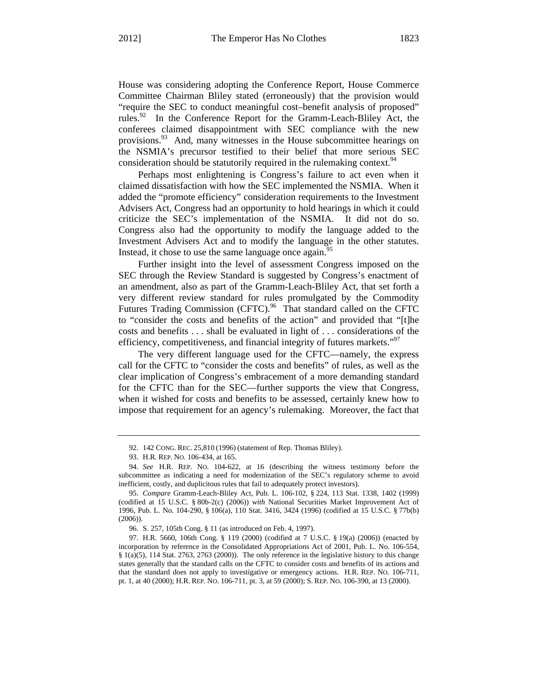House was considering adopting the Conference Report, House Commerce Committee Chairman Bliley stated (erroneously) that the provision would "require the SEC to conduct meaningful cost–benefit analysis of proposed" rules.<sup>92</sup> In the Conference Report for the Gramm-Leach-Bliley Act, the conferees claimed disappointment with SEC compliance with the new provisions.<sup>93</sup> And, many witnesses in the House subcommittee hearings on the NSMIA's precursor testified to their belief that more serious SEC consideration should be statutorily required in the rulemaking context.<sup>94</sup>

Perhaps most enlightening is Congress's failure to act even when it claimed dissatisfaction with how the SEC implemented the NSMIA. When it added the "promote efficiency" consideration requirements to the Investment Advisers Act, Congress had an opportunity to hold hearings in which it could criticize the SEC's implementation of the NSMIA. It did not do so. Congress also had the opportunity to modify the language added to the Investment Advisers Act and to modify the language in the other statutes. Instead, it chose to use the same language once again.<sup>95</sup>

Further insight into the level of assessment Congress imposed on the SEC through the Review Standard is suggested by Congress's enactment of an amendment, also as part of the Gramm-Leach-Bliley Act, that set forth a very different review standard for rules promulgated by the Commodity Futures Trading Commission (CFTC).<sup>96</sup> That standard called on the CFTC to "consider the costs and benefits of the action" and provided that "[t]he costs and benefits . . . shall be evaluated in light of . . . considerations of the efficiency, competitiveness, and financial integrity of futures markets. $"$ <sup>97</sup>

The very different language used for the CFTC—namely, the express call for the CFTC to "consider the costs and benefits" of rules, as well as the clear implication of Congress's embracement of a more demanding standard for the CFTC than for the SEC—further supports the view that Congress, when it wished for costs and benefits to be assessed, certainly knew how to impose that requirement for an agency's rulemaking. Moreover, the fact that

<sup>92. 142</sup> CONG. REC. 25,810 (1996) (statement of Rep. Thomas Bliley).

<sup>93.</sup> H.R. REP. NO. 106-434, at 165.

<sup>94.</sup> *See* H.R. REP. NO. 104-622, at 16 (describing the witness testimony before the subcommittee as indicating a need for modernization of the SEC's regulatory scheme to avoid inefficient, costly, and duplicitous rules that fail to adequately protect investors).

<sup>95.</sup> *Compare* Gramm-Leach-Bliley Act, Pub. L. 106-102, § 224, 113 Stat. 1338, 1402 (1999) (codified at 15 U.S.C. § 80b-2(c) (2006)) *with* National Securities Market Improvement Act of 1996, Pub. L. No. 104-290, § 106(a), 110 Stat. 3416, 3424 (1996) (codified at 15 U.S.C. § 77b(b) (2006)).

<sup>96.</sup> S. 257, 105th Cong. § 11 (as introduced on Feb. 4, 1997).

<sup>97.</sup> H.R. 5660, 106th Cong. § 119 (2000) (codified at 7 U.S.C. § 19(a) (2006)) (enacted by incorporation by reference in the Consolidated Appropriations Act of 2001, Pub. L. No. 106-554, § 1(a)(5), 114 Stat. 2763, 2763 (2000)). The only reference in the legislative history to this change states generally that the standard calls on the CFTC to consider costs and benefits of its actions and that the standard does not apply to investigative or emergency actions. H.R. REP. NO. 106-711, pt. 1, at 40 (2000); H.R. REP. NO. 106-711, pt. 3, at 59 (2000); S. REP. NO. 106-390, at 13 (2000).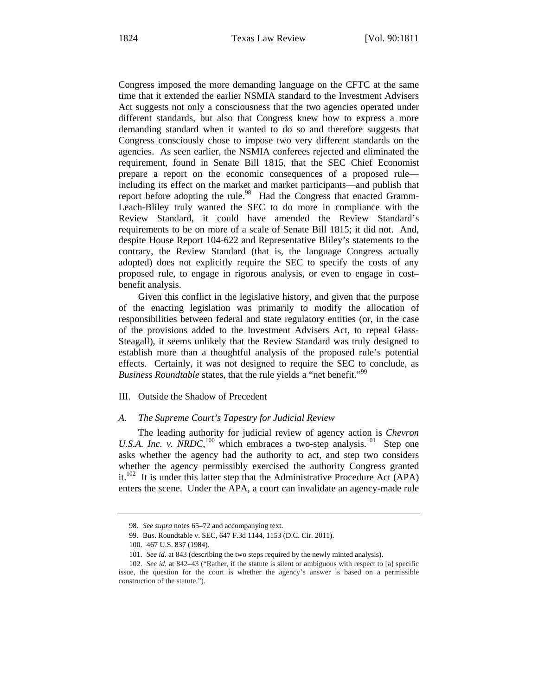Congress imposed the more demanding language on the CFTC at the same time that it extended the earlier NSMIA standard to the Investment Advisers Act suggests not only a consciousness that the two agencies operated under different standards, but also that Congress knew how to express a more demanding standard when it wanted to do so and therefore suggests that Congress consciously chose to impose two very different standards on the agencies. As seen earlier, the NSMIA conferees rejected and eliminated the requirement, found in Senate Bill 1815, that the SEC Chief Economist prepare a report on the economic consequences of a proposed rule including its effect on the market and market participants—and publish that report before adopting the rule.<sup>98</sup> Had the Congress that enacted Gramm-Leach-Bliley truly wanted the SEC to do more in compliance with the Review Standard, it could have amended the Review Standard's requirements to be on more of a scale of Senate Bill 1815; it did not. And, despite House Report 104-622 and Representative Bliley's statements to the contrary, the Review Standard (that is, the language Congress actually adopted) does not explicitly require the SEC to specify the costs of any proposed rule, to engage in rigorous analysis, or even to engage in cost– benefit analysis.

Given this conflict in the legislative history, and given that the purpose of the enacting legislation was primarily to modify the allocation of responsibilities between federal and state regulatory entities (or, in the case of the provisions added to the Investment Advisers Act, to repeal Glass-Steagall), it seems unlikely that the Review Standard was truly designed to establish more than a thoughtful analysis of the proposed rule's potential effects. Certainly, it was not designed to require the SEC to conclude, as *Business Roundtable* states, that the rule yields a "net benefit."<sup>99</sup>

#### III. Outside the Shadow of Precedent

#### *A. The Supreme Court's Tapestry for Judicial Review*

The leading authority for judicial review of agency action is *Chevron*  U.S.A. Inc. v.  $\overline{N}RDC$ ,<sup>100</sup> which embraces a two-step analysis.<sup>101</sup> Step one asks whether the agency had the authority to act, and step two considers whether the agency permissibly exercised the authority Congress granted it.<sup>102</sup> It is under this latter step that the Administrative Procedure Act (APA) enters the scene. Under the APA, a court can invalidate an agency-made rule

<sup>98.</sup> *See supra* notes 65–72 and accompanying text.

<sup>99.</sup> Bus. Roundtable v. SEC, 647 F.3d 1144, 1153 (D.C. Cir. 2011).

<sup>100. 467</sup> U.S. 837 (1984).

<sup>101.</sup> *See id.* at 843 (describing the two steps required by the newly minted analysis).

<sup>102.</sup> *See id.* at 842–43 ("Rather, if the statute is silent or ambiguous with respect to [a] specific issue, the question for the court is whether the agency's answer is based on a permissible construction of the statute.").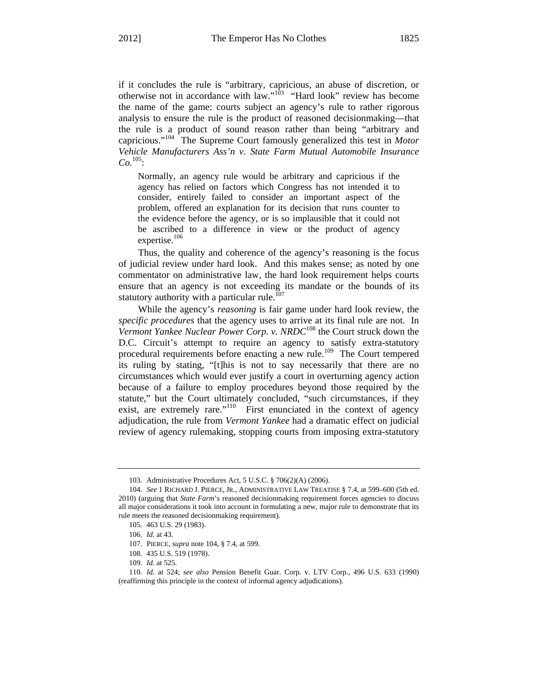if it concludes the rule is "arbitrary, capricious, an abuse of discretion, or otherwise not in accordance with law." $103$  "Hard look" review has become the name of the game: courts subject an agency's rule to rather rigorous analysis to ensure the rule is the product of reasoned decisionmaking—that the rule is a product of sound reason rather than being "arbitrary and capricious."104 The Supreme Court famously generalized this test in *Motor Vehicle Manufacturers Ass'n v. State Farm Mutual Automobile Insurance Co.*105:

Normally, an agency rule would be arbitrary and capricious if the agency has relied on factors which Congress has not intended it to consider, entirely failed to consider an important aspect of the problem, offered an explanation for its decision that runs counter to the evidence before the agency, or is so implausible that it could not be ascribed to a difference in view or the product of agency expertise.<sup>106</sup>

Thus, the quality and coherence of the agency's reasoning is the focus of judicial review under hard look. And this makes sense; as noted by one commentator on administrative law, the hard look requirement helps courts ensure that an agency is not exceeding its mandate or the bounds of its statutory authority with a particular rule.<sup>107</sup>

While the agency's *reasoning* is fair game under hard look review, the *specific procedures* that the agency uses to arrive at its final rule are not. In *Vermont Yankee Nuclear Power Corp. v. NRDC*<sup>108</sup> the Court struck down the D.C. Circuit's attempt to require an agency to satisfy extra-statutory procedural requirements before enacting a new rule.<sup>109</sup> The Court tempered its ruling by stating, "[t]his is not to say necessarily that there are no circumstances which would ever justify a court in overturning agency action because of a failure to employ procedures beyond those required by the statute," but the Court ultimately concluded, "such circumstances, if they exist, are extremely rare."<sup>110</sup> First enunciated in the context of agency adjudication, the rule from *Vermont Yankee* had a dramatic effect on judicial review of agency rulemaking, stopping courts from imposing extra-statutory

<sup>103.</sup> Administrative Procedures Act, 5 U.S.C. § 706(2)(A) (2006).

<sup>104.</sup> *See* 1 RICHARD J. PIERCE, JR., ADMINISTRATIVE LAW TREATISE § 7.4, at 599–600 (5th ed. 2010) (arguing that *State Farm*'s reasoned decisionmaking requirement forces agencies to discuss all major considerations it took into account in formulating a new, major rule to demonstrate that its rule meets the reasoned decisionmaking requirement).

<sup>105. 463</sup> U.S. 29 (1983).

<sup>106.</sup> *Id*. at 43.

<sup>107.</sup> PIERCE, *supra* note 104, § 7.4, at 599.

<sup>108. 435</sup> U.S. 519 (1978).

<sup>109.</sup> *Id.* at 525.

<sup>110.</sup> *Id.* at 524; *see also* Pension Benefit Guar. Corp. v. LTV Corp., 496 U.S. 633 (1990) (reaffirming this principle in the context of informal agency adjudications).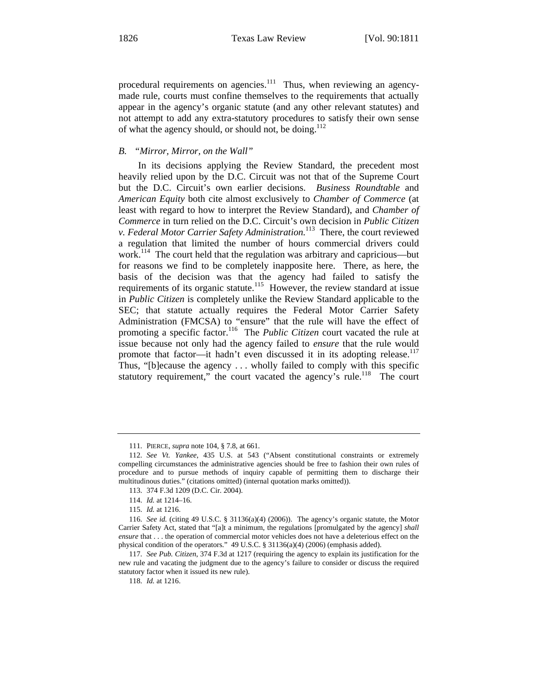procedural requirements on agencies. $\frac{1}{11}$  Thus, when reviewing an agencymade rule, courts must confine themselves to the requirements that actually appear in the agency's organic statute (and any other relevant statutes) and not attempt to add any extra-statutory procedures to satisfy their own sense of what the agency should, or should not, be doing.<sup>112</sup>

#### *B. "Mirror, Mirror, on the Wall"*

In its decisions applying the Review Standard, the precedent most heavily relied upon by the D.C. Circuit was not that of the Supreme Court but the D.C. Circuit's own earlier decisions. *Business Roundtable* and *American Equity* both cite almost exclusively to *Chamber of Commerce* (at least with regard to how to interpret the Review Standard), and *Chamber of Commerce* in turn relied on the D.C. Circuit's own decision in *Public Citizen v. Federal Motor Carrier Safety Administration.*<sup>113</sup>There, the court reviewed a regulation that limited the number of hours commercial drivers could work.<sup>114</sup> The court held that the regulation was arbitrary and capricious—but for reasons we find to be completely inapposite here. There, as here, the basis of the decision was that the agency had failed to satisfy the requirements of its organic statute.<sup>115</sup> However, the review standard at issue in *Public Citizen* is completely unlike the Review Standard applicable to the SEC; that statute actually requires the Federal Motor Carrier Safety Administration (FMCSA) to "ensure" that the rule will have the effect of promoting a specific factor.<sup>116</sup> The *Public Citizen* court vacated the rule at issue because not only had the agency failed to *ensure* that the rule would promote that factor—it hadn't even discussed it in its adopting release.<sup>117</sup> Thus, "[b]ecause the agency . . . wholly failed to comply with this specific statutory requirement," the court vacated the agency's rule.<sup>118</sup> The court

<sup>111.</sup> PIERCE, *supra* note 104, § 7.8, at 661.

<sup>112.</sup> *See Vt. Yankee*, 435 U.S. at 543 ("Absent constitutional constraints or extremely compelling circumstances the administrative agencies should be free to fashion their own rules of procedure and to pursue methods of inquiry capable of permitting them to discharge their multitudinous duties." (citations omitted) (internal quotation marks omitted)).

<sup>113. 374</sup> F.3d 1209 (D.C. Cir. 2004).

<sup>114.</sup> *Id.* at 1214–16.

<sup>115.</sup> *Id.* at 1216.

<sup>116.</sup> *See id.* (citing 49 U.S.C. § 31136(a)(4) (2006)). The agency's organic statute, the Motor Carrier Safety Act, stated that "[a]t a minimum, the regulations [promulgated by the agency] *shall ensure* that . . . the operation of commercial motor vehicles does not have a deleterious effect on the physical condition of the operators." 49 U.S.C. § 31136(a)(4) (2006) (emphasis added).

<sup>117.</sup> *See Pub. Citizen*, 374 F.3d at 1217 (requiring the agency to explain its justification for the new rule and vacating the judgment due to the agency's failure to consider or discuss the required statutory factor when it issued its new rule).

<sup>118.</sup> *Id.* at 1216.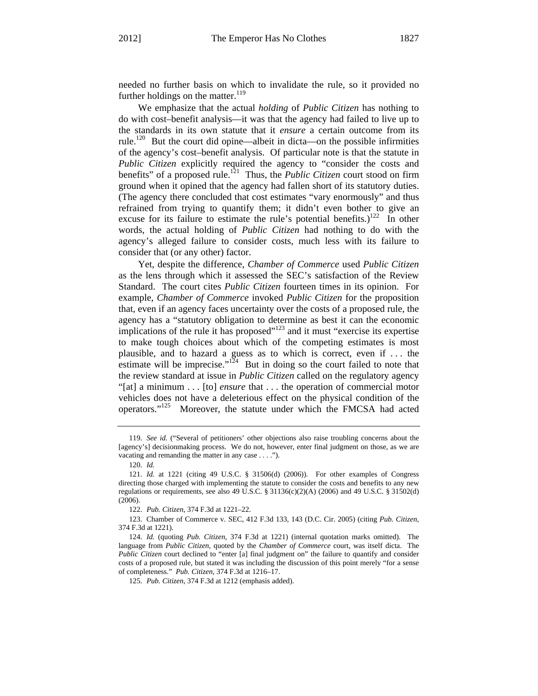needed no further basis on which to invalidate the rule, so it provided no further holdings on the matter. $119$ 

We emphasize that the actual *holding* of *Public Citizen* has nothing to do with cost–benefit analysis—it was that the agency had failed to live up to the standards in its own statute that it *ensure* a certain outcome from its rule.<sup>120</sup> But the court did opine—albeit in dicta—on the possible infirmities of the agency's cost–benefit analysis. Of particular note is that the statute in *Public Citizen* explicitly required the agency to "consider the costs and benefits" of a proposed rule.<sup>121</sup> Thus, the *Public Citizen* court stood on firm ground when it opined that the agency had fallen short of its statutory duties. (The agency there concluded that cost estimates "vary enormously" and thus refrained from trying to quantify them; it didn't even bother to give an excuse for its failure to estimate the rule's potential benefits.)<sup>122</sup> In other words, the actual holding of *Public Citizen* had nothing to do with the agency's alleged failure to consider costs, much less with its failure to consider that (or any other) factor.

Yet, despite the difference, *Chamber of Commerce* used *Public Citizen*  as the lens through which it assessed the SEC's satisfaction of the Review Standard. The court cites *Public Citizen* fourteen times in its opinion. For example, *Chamber of Commerce* invoked *Public Citizen* for the proposition that, even if an agency faces uncertainty over the costs of a proposed rule, the agency has a "statutory obligation to determine as best it can the economic implications of the rule it has proposed"<sup>123</sup> and it must "exercise its expertise to make tough choices about which of the competing estimates is most plausible, and to hazard a guess as to which is correct, even if . . . the estimate will be imprecise."<sup>124</sup> But in doing so the court failed to note that the review standard at issue in *Public Citizen* called on the regulatory agency "[at] a minimum . . . [to] *ensure* that . . . the operation of commercial motor vehicles does not have a deleterious effect on the physical condition of the operators."125 Moreover, the statute under which the FMCSA had acted

<sup>119.</sup> *See id.* ("Several of petitioners' other objections also raise troubling concerns about the [agency's] decisionmaking process. We do not, however, enter final judgment on those, as we are vacating and remanding the matter in any case . . . .").

<sup>120.</sup> *Id.*

<sup>121.</sup> *Id.* at 1221 (citing 49 U.S.C. § 31506(d) (2006)). For other examples of Congress directing those charged with implementing the statute to consider the costs and benefits to any new regulations or requirements, see also 49 U.S.C. § 31136(c)(2)(A) (2006) and 49 U.S.C. § 31502(d) (2006).

<sup>122.</sup> *Pub. Citizen*, 374 F.3d at 1221–22.

<sup>123.</sup> Chamber of Commerce v. SEC, 412 F.3d 133, 143 (D.C. Cir. 2005) (citing *Pub. Citizen*, 374 F.3d at 1221).

<sup>124.</sup> *Id.* (quoting *Pub. Citizen*, 374 F.3d at 1221) (internal quotation marks omitted). The language from *Public Citizen*, quoted by the *Chamber of Commerce* court, was itself dicta. The *Public Citizen* court declined to "enter [a] final judgment on" the failure to quantify and consider costs of a proposed rule, but stated it was including the discussion of this point merely "for a sense of completeness." *Pub. Citizen*, 374 F.3d at 1216–17.

<sup>125.</sup> *Pub. Citizen*, 374 F.3d at 1212 (emphasis added).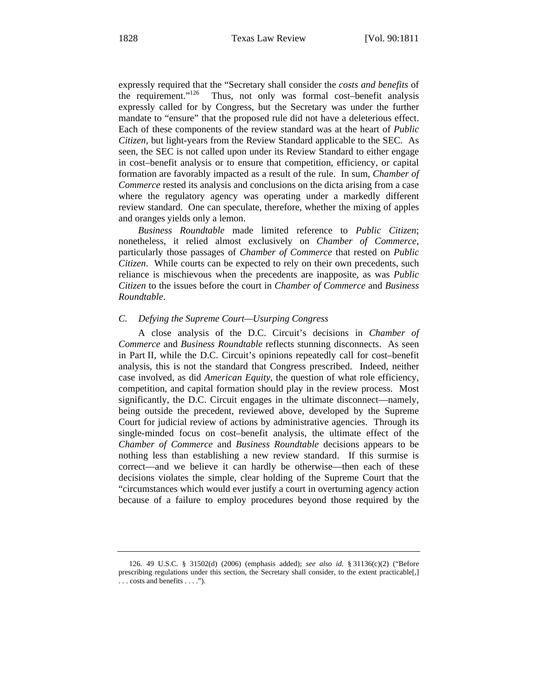expressly required that the "Secretary shall consider the *costs and benefits* of the requirement." $126$  Thus, not only was formal cost-benefit analysis expressly called for by Congress, but the Secretary was under the further mandate to "ensure" that the proposed rule did not have a deleterious effect. Each of these components of the review standard was at the heart of *Public Citizen*, but light-years from the Review Standard applicable to the SEC. As seen, the SEC is not called upon under its Review Standard to either engage in cost–benefit analysis or to ensure that competition, efficiency, or capital formation are favorably impacted as a result of the rule. In sum, *Chamber of Commerce* rested its analysis and conclusions on the dicta arising from a case where the regulatory agency was operating under a markedly different review standard. One can speculate, therefore, whether the mixing of apples and oranges yields only a lemon.

*Business Roundtable* made limited reference to *Public Citizen*; nonetheless, it relied almost exclusively on *Chamber of Commerce*, particularly those passages of *Chamber of Commerce* that rested on *Public Citizen*. While courts can be expected to rely on their own precedents, such reliance is mischievous when the precedents are inapposite, as was *Public Citizen* to the issues before the court in *Chamber of Commerce* and *Business Roundtable*.

## *C. Defying the Supreme Court—Usurping Congress*

A close analysis of the D.C. Circuit's decisions in *Chamber of Commerce* and *Business Roundtable* reflects stunning disconnects. As seen in Part II, while the D.C. Circuit's opinions repeatedly call for cost–benefit analysis, this is not the standard that Congress prescribed. Indeed, neither case involved, as did *American Equity*, the question of what role efficiency, competition, and capital formation should play in the review process. Most significantly, the D.C. Circuit engages in the ultimate disconnect—namely, being outside the precedent, reviewed above, developed by the Supreme Court for judicial review of actions by administrative agencies. Through its single-minded focus on cost–benefit analysis, the ultimate effect of the *Chamber of Commerce* and *Business Roundtable* decisions appears to be nothing less than establishing a new review standard. If this surmise is correct—and we believe it can hardly be otherwise—then each of these decisions violates the simple, clear holding of the Supreme Court that the "circumstances which would ever justify a court in overturning agency action because of a failure to employ procedures beyond those required by the

<sup>126. 49</sup> U.S.C. § 31502(d) (2006) (emphasis added); *see also id.* § 31136(c)(2) ("Before prescribing regulations under this section, the Secretary shall consider, to the extent practicable[,] . . . costs and benefits . . . .").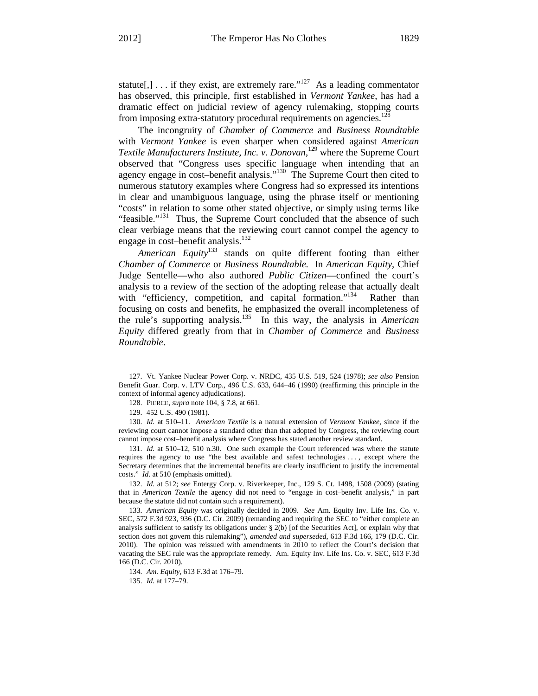statute[,] . . . if they exist, are extremely rare."<sup>127</sup> As a leading commentator has observed, this principle, first established in *Vermont Yankee*, has had a dramatic effect on judicial review of agency rulemaking, stopping courts from imposing extra-statutory procedural requirements on agencies.<sup>12</sup>

The incongruity of *Chamber of Commerce* and *Business Roundtable*  with *Vermont Yankee* is even sharper when considered against *American Textile Manufacturers Institute, Inc. v. Donovan*, 129 where the Supreme Court observed that "Congress uses specific language when intending that an agency engage in cost–benefit analysis."130 The Supreme Court then cited to numerous statutory examples where Congress had so expressed its intentions in clear and unambiguous language, using the phrase itself or mentioning "costs" in relation to some other stated objective, or simply using terms like "feasible."<sup>131</sup> Thus, the Supreme Court concluded that the absence of such clear verbiage means that the reviewing court cannot compel the agency to engage in cost-benefit analysis.<sup>132</sup>

*American Equity*133 stands on quite different footing than either *Chamber of Commerce* or *Business Roundtable.* In *American Equity*, Chief Judge Sentelle—who also authored *Public Citizen*—confined the court's analysis to a review of the section of the adopting release that actually dealt with "efficiency, competition, and capital formation."<sup>134</sup> Rather than focusing on costs and benefits, he emphasized the overall incompleteness of the rule's supporting analysis.135 In this way, the analysis in *American Equity* differed greatly from that in *Chamber of Commerce* and *Business Roundtable*.

131. *Id.* at 510–12, 510 n.30. One such example the Court referenced was where the statute requires the agency to use "the best available and safest technologies . . . , except where the Secretary determines that the incremental benefits are clearly insufficient to justify the incremental costs." *Id.* at 510 (emphasis omitted).

132. *Id.* at 512; *see* Entergy Corp. v. Riverkeeper, Inc., 129 S. Ct. 1498, 1508 (2009) (stating that in *American Textile* the agency did not need to "engage in cost–benefit analysis," in part because the statute did not contain such a requirement).

133. *American Equity* was originally decided in 2009. *See* Am. Equity Inv. Life Ins. Co. v. SEC, 572 F.3d 923, 936 (D.C. Cir. 2009) (remanding and requiring the SEC to "either complete an analysis sufficient to satisfy its obligations under § 2(b) [of the Securities Act], or explain why that section does not govern this rulemaking"), *amended and superseded*, 613 F.3d 166, 179 (D.C. Cir. 2010). The opinion was reissued with amendments in 2010 to reflect the Court's decision that vacating the SEC rule was the appropriate remedy. Am. Equity Inv. Life Ins. Co. v. SEC, 613 F.3d 166 (D.C. Cir. 2010).

134. *Am. Equity*, 613 F.3d at 176–79.

135. *Id.* at 177–79.

<sup>127.</sup> Vt. Yankee Nuclear Power Corp. v. NRDC, 435 U.S. 519, 524 (1978); *see also* Pension Benefit Guar. Corp. v. LTV Corp., 496 U.S. 633, 644–46 (1990) (reaffirming this principle in the context of informal agency adjudications).

<sup>128.</sup> PIERCE, *supra* note 104, § 7.8, at 661.

<sup>129. 452</sup> U.S. 490 (1981).

<sup>130.</sup> *Id.* at 510–11. *American Textile* is a natural extension of *Vermont Yankee*, since if the reviewing court cannot impose a standard other than that adopted by Congress, the reviewing court cannot impose cost–benefit analysis where Congress has stated another review standard.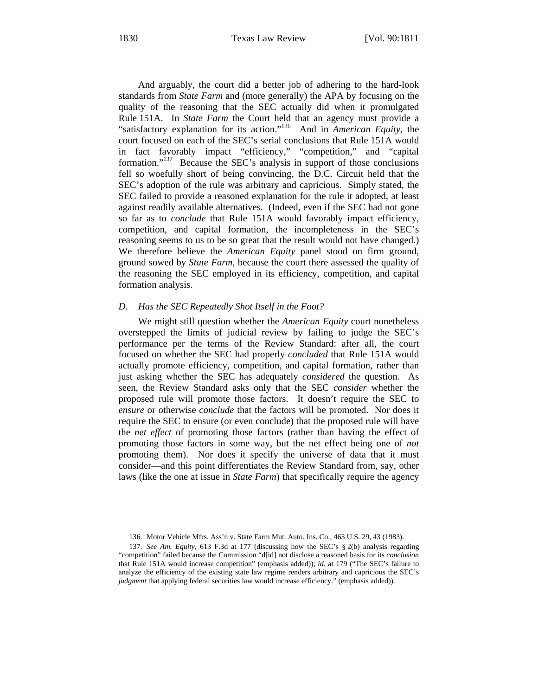And arguably, the court did a better job of adhering to the hard-look standards from *State Farm* and (more generally) the APA by focusing on the quality of the reasoning that the SEC actually did when it promulgated Rule 151A. In *State Farm* the Court held that an agency must provide a "satisfactory explanation for its action."136 And in *American Equity*, the court focused on each of the SEC's serial conclusions that Rule 151A would in fact favorably impact "efficiency," "competition," and "capital formation."137 Because the SEC's analysis in support of those conclusions fell so woefully short of being convincing, the D.C. Circuit held that the SEC's adoption of the rule was arbitrary and capricious. Simply stated, the SEC failed to provide a reasoned explanation for the rule it adopted, at least against readily available alternatives. (Indeed, even if the SEC had not gone so far as to *conclude* that Rule 151A would favorably impact efficiency, competition, and capital formation, the incompleteness in the SEC's reasoning seems to us to be so great that the result would not have changed.) We therefore believe the *American Equity* panel stood on firm ground, ground sowed by *State Farm*, because the court there assessed the quality of the reasoning the SEC employed in its efficiency, competition, and capital formation analysis.

#### *D. Has the SEC Repeatedly Shot Itself in the Foot?*

We might still question whether the *American Equity* court nonetheless overstepped the limits of judicial review by failing to judge the SEC's performance per the terms of the Review Standard: after all, the court focused on whether the SEC had properly *concluded* that Rule 151A would actually promote efficiency, competition, and capital formation, rather than just asking whether the SEC has adequately *considered* the question. As seen, the Review Standard asks only that the SEC *consider* whether the proposed rule will promote those factors. It doesn't require the SEC to *ensure* or otherwise *conclude* that the factors will be promoted. Nor does it require the SEC to ensure (or even conclude) that the proposed rule will have the *net effect* of promoting those factors (rather than having the effect of promoting those factors in some way, but the net effect being one of *not* promoting them). Nor does it specify the universe of data that it must consider—and this point differentiates the Review Standard from, say, other laws (like the one at issue in *State Farm*) that specifically require the agency

<sup>136.</sup> Motor Vehicle Mfrs. Ass'n v. State Farm Mut. Auto. Ins. Co., 463 U.S. 29, 43 (1983).

<sup>137.</sup> *See Am. Equity*, 613 F.3d at 177 (discussing how the SEC's § 2(b) analysis regarding "competition" failed because the Commission "d[id] not disclose a reasoned basis for its *conclusion* that Rule 151A would increase competition" (emphasis added)); *id.* at 179 ("The SEC's failure to analyze the efficiency of the existing state law regime renders arbitrary and capricious the SEC's *judgment* that applying federal securities law would increase efficiency." (emphasis added)).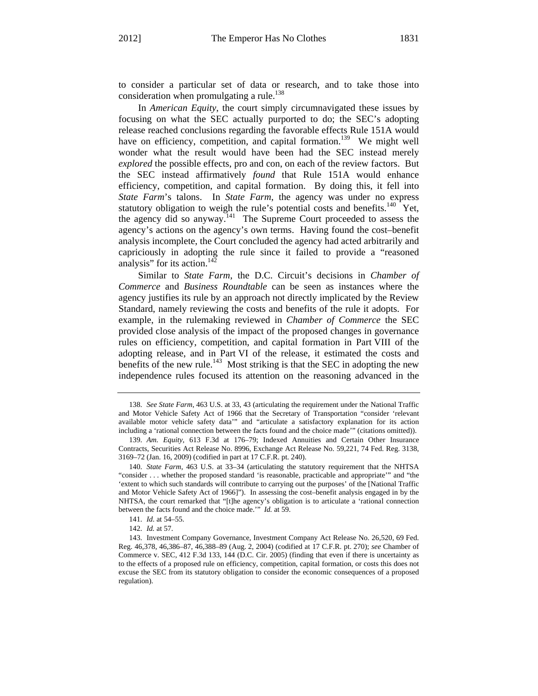to consider a particular set of data or research, and to take those into consideration when promulgating a rule.<sup>138</sup>

In *American Equity*, the court simply circumnavigated these issues by focusing on what the SEC actually purported to do; the SEC's adopting release reached conclusions regarding the favorable effects Rule 151A would have on efficiency, competition, and capital formation.<sup>139</sup> We might well wonder what the result would have been had the SEC instead merely *explored* the possible effects, pro and con, on each of the review factors. But the SEC instead affirmatively *found* that Rule 151A would enhance efficiency, competition, and capital formation. By doing this, it fell into *State Farm*'s talons. In *State Farm*, the agency was under no express statutory obligation to weigh the rule's potential costs and benefits.<sup>140</sup> Yet, the agency did so anyway.<sup>141</sup> The Supreme Court proceeded to assess the agency's actions on the agency's own terms. Having found the cost–benefit analysis incomplete, the Court concluded the agency had acted arbitrarily and capriciously in adopting the rule since it failed to provide a "reasoned analysis" for its action.<sup>142</sup>

Similar to *State Farm*, the D.C. Circuit's decisions in *Chamber of Commerce* and *Business Roundtable* can be seen as instances where the agency justifies its rule by an approach not directly implicated by the Review Standard, namely reviewing the costs and benefits of the rule it adopts. For example, in the rulemaking reviewed in *Chamber of Commerce* the SEC provided close analysis of the impact of the proposed changes in governance rules on efficiency, competition, and capital formation in Part VIII of the adopting release, and in Part VI of the release, it estimated the costs and benefits of the new rule.<sup>143</sup> Most striking is that the SEC in adopting the new independence rules focused its attention on the reasoning advanced in the

<sup>138.</sup> *See State Farm*, 463 U.S. at 33, 43 (articulating the requirement under the National Traffic and Motor Vehicle Safety Act of 1966 that the Secretary of Transportation "consider 'relevant available motor vehicle safety data'" and "articulate a satisfactory explanation for its action including a 'rational connection between the facts found and the choice made'" (citations omitted)).

<sup>139.</sup> *Am. Equity*, 613 F.3d at 176–79; Indexed Annuities and Certain Other Insurance Contracts, Securities Act Release No. 8996, Exchange Act Release No. 59,221, 74 Fed. Reg. 3138, 3169–72 (Jan. 16, 2009) (codified in part at 17 C.F.R. pt. 240).

<sup>140.</sup> *State Farm*, 463 U.S. at 33–34 (articulating the statutory requirement that the NHTSA "consider . . . whether the proposed standard 'is reasonable, practicable and appropriate'" and "the 'extent to which such standards will contribute to carrying out the purposes' of the [National Traffic and Motor Vehicle Safety Act of 1966]"). In assessing the cost–benefit analysis engaged in by the NHTSA, the court remarked that "[t]he agency's obligation is to articulate a 'rational connection between the facts found and the choice made.'" *Id.* at 59.

<sup>141.</sup> *Id*. at 54–55.

<sup>142.</sup> *Id.* at 57.

<sup>143.</sup> Investment Company Governance, Investment Company Act Release No. 26,520, 69 Fed. Reg. 46,378, 46,386–87, 46,388–89 (Aug. 2, 2004) (codified at 17 C.F.R. pt. 270); *see* Chamber of Commerce v. SEC, 412 F.3d 133, 144 (D.C. Cir. 2005) (finding that even if there is uncertainty as to the effects of a proposed rule on efficiency, competition, capital formation, or costs this does not excuse the SEC from its statutory obligation to consider the economic consequences of a proposed regulation).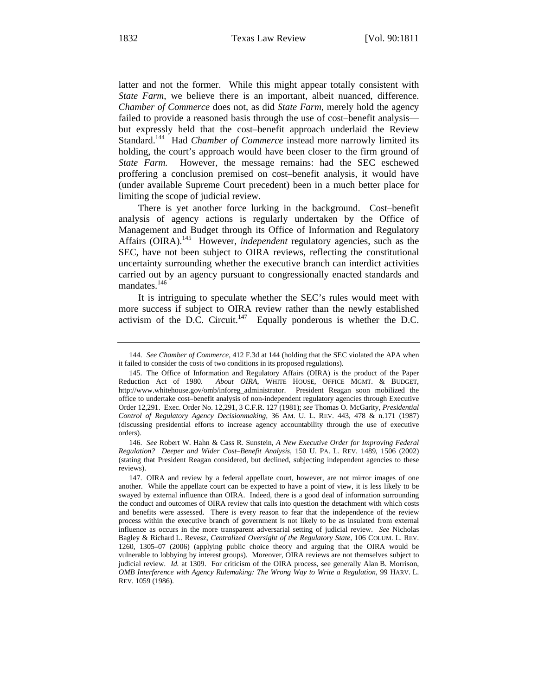latter and not the former. While this might appear totally consistent with *State Farm*, we believe there is an important, albeit nuanced, difference. *Chamber of Commerce* does not, as did *State Farm*, merely hold the agency failed to provide a reasoned basis through the use of cost–benefit analysis but expressly held that the cost–benefit approach underlaid the Review Standard.<sup>144</sup> Had *Chamber of Commerce* instead more narrowly limited its holding, the court's approach would have been closer to the firm ground of *State Farm.* However, the message remains: had the SEC eschewed proffering a conclusion premised on cost–benefit analysis, it would have (under available Supreme Court precedent) been in a much better place for limiting the scope of judicial review.

There is yet another force lurking in the background. Cost–benefit analysis of agency actions is regularly undertaken by the Office of Management and Budget through its Office of Information and Regulatory Affairs (OIRA).<sup>145</sup> However, *independent* regulatory agencies, such as the SEC, have not been subject to OIRA reviews, reflecting the constitutional uncertainty surrounding whether the executive branch can interdict activities carried out by an agency pursuant to congressionally enacted standards and mandates.<sup>146</sup>

It is intriguing to speculate whether the SEC's rules would meet with more success if subject to OIRA review rather than the newly established activism of the D.C. Circuit.<sup>147</sup> Equally ponderous is whether the D.C.

<sup>144.</sup> *See Chamber of Commerce*, 412 F.3d at 144 (holding that the SEC violated the APA when it failed to consider the costs of two conditions in its proposed regulations).

<sup>145.</sup> The Office of Information and Regulatory Affairs (OIRA) is the product of the Paper Reduction Act of 1980. *About OIRA*, WHITE HOUSE, OFFICE MGMT. & BUDGET, http://www.whitehouse.gov/omb/inforeg\_administrator. President Reagan soon mobilized the office to undertake cost–benefit analysis of non-independent regulatory agencies through Executive Order 12,291. Exec. Order No. 12,291, 3 C.F.R. 127 (1981); *see* Thomas O. McGarity, *Presidential Control of Regulatory Agency Decisionmaking*, 36 AM. U. L. REV. 443, 478 & n.171 (1987) (discussing presidential efforts to increase agency accountability through the use of executive orders).

<sup>146.</sup> *See* Robert W. Hahn & Cass R. Sunstein, *A New Executive Order for Improving Federal Regulation? Deeper and Wider Cost–Benefit Analysis*, 150 U. PA. L. REV. 1489, 1506 (2002) (stating that President Reagan considered, but declined, subjecting independent agencies to these reviews).

<sup>147.</sup> OIRA and review by a federal appellate court, however, are not mirror images of one another. While the appellate court can be expected to have a point of view, it is less likely to be swayed by external influence than OIRA. Indeed, there is a good deal of information surrounding the conduct and outcomes of OIRA review that calls into question the detachment with which costs and benefits were assessed. There is every reason to fear that the independence of the review process within the executive branch of government is not likely to be as insulated from external influence as occurs in the more transparent adversarial setting of judicial review. *See* Nicholas Bagley & Richard L. Revesz, *Centralized Oversight of the Regulatory State*, 106 COLUM. L. REV. 1260, 1305–07 (2006) (applying public choice theory and arguing that the OIRA would be vulnerable to lobbying by interest groups). Moreover, OIRA reviews are not themselves subject to judicial review. *Id.* at 1309. For criticism of the OIRA process, see generally Alan B. Morrison, *OMB Interference with Agency Rulemaking: The Wrong Way to Write a Regulation*, 99 HARV. L. REV. 1059 (1986).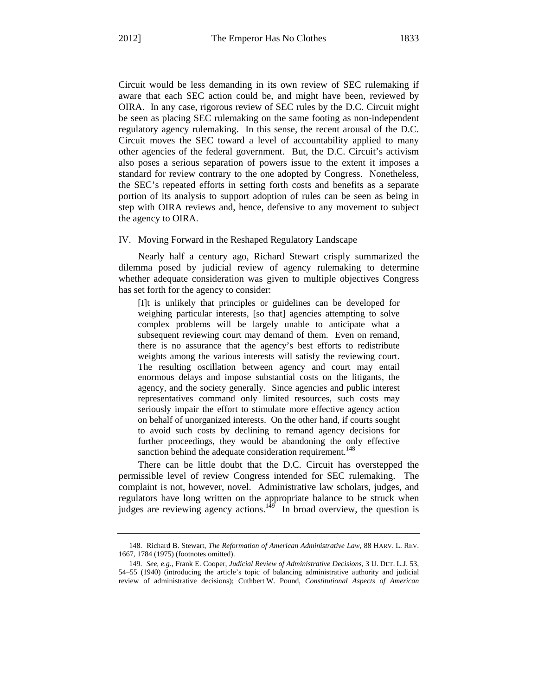Circuit would be less demanding in its own review of SEC rulemaking if aware that each SEC action could be, and might have been, reviewed by OIRA. In any case, rigorous review of SEC rules by the D.C. Circuit might be seen as placing SEC rulemaking on the same footing as non-independent regulatory agency rulemaking. In this sense, the recent arousal of the D.C. Circuit moves the SEC toward a level of accountability applied to many other agencies of the federal government. But, the D.C. Circuit's activism also poses a serious separation of powers issue to the extent it imposes a standard for review contrary to the one adopted by Congress. Nonetheless, the SEC's repeated efforts in setting forth costs and benefits as a separate portion of its analysis to support adoption of rules can be seen as being in step with OIRA reviews and, hence, defensive to any movement to subject the agency to OIRA.

#### IV. Moving Forward in the Reshaped Regulatory Landscape

Nearly half a century ago, Richard Stewart crisply summarized the dilemma posed by judicial review of agency rulemaking to determine whether adequate consideration was given to multiple objectives Congress has set forth for the agency to consider:

[I]t is unlikely that principles or guidelines can be developed for weighing particular interests, [so that] agencies attempting to solve complex problems will be largely unable to anticipate what a subsequent reviewing court may demand of them. Even on remand, there is no assurance that the agency's best efforts to redistribute weights among the various interests will satisfy the reviewing court. The resulting oscillation between agency and court may entail enormous delays and impose substantial costs on the litigants, the agency, and the society generally. Since agencies and public interest representatives command only limited resources, such costs may seriously impair the effort to stimulate more effective agency action on behalf of unorganized interests. On the other hand, if courts sought to avoid such costs by declining to remand agency decisions for further proceedings, they would be abandoning the only effective sanction behind the adequate consideration requirement.<sup>148</sup>

There can be little doubt that the D.C. Circuit has overstepped the permissible level of review Congress intended for SEC rulemaking. The complaint is not, however, novel. Administrative law scholars, judges, and regulators have long written on the appropriate balance to be struck when judges are reviewing agency actions.<sup>149</sup> In broad overview, the question is

<sup>148.</sup> Richard B. Stewart, *The Reformation of American Administrative Law*, 88 HARV. L. REV. 1667, 1784 (1975) (footnotes omitted).

<sup>149.</sup> *See, e.g.*, Frank E. Cooper, *Judicial Review of Administrative Decisions*, 3 U. DET. L.J. 53, 54–55 (1940) (introducing the article's topic of balancing administrative authority and judicial review of administrative decisions); Cuthbert W. Pound, *Constitutional Aspects of American*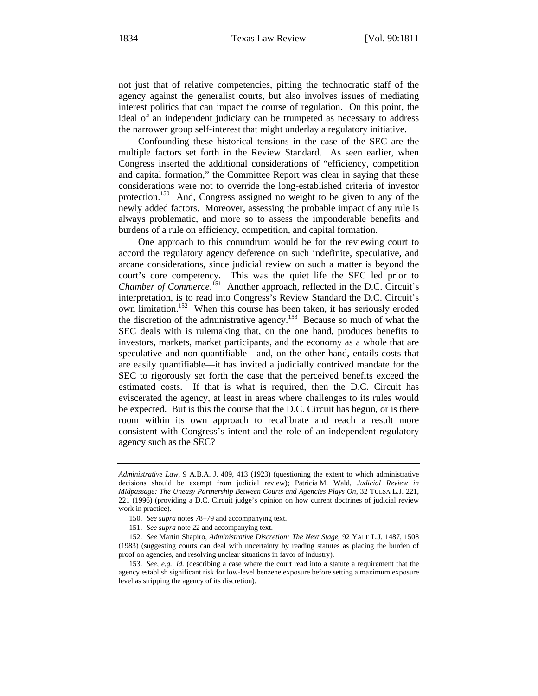not just that of relative competencies, pitting the technocratic staff of the agency against the generalist courts, but also involves issues of mediating interest politics that can impact the course of regulation. On this point, the ideal of an independent judiciary can be trumpeted as necessary to address the narrower group self-interest that might underlay a regulatory initiative.

Confounding these historical tensions in the case of the SEC are the multiple factors set forth in the Review Standard. As seen earlier, when Congress inserted the additional considerations of "efficiency, competition and capital formation," the Committee Report was clear in saying that these considerations were not to override the long-established criteria of investor protection.<sup>150</sup> And, Congress assigned no weight to be given to any of the newly added factors. Moreover, assessing the probable impact of any rule is always problematic, and more so to assess the imponderable benefits and burdens of a rule on efficiency, competition, and capital formation.

One approach to this conundrum would be for the reviewing court to accord the regulatory agency deference on such indefinite, speculative, and arcane considerations, since judicial review on such a matter is beyond the court's core competency. This was the quiet life the SEC led prior to Chamber of Commerce.<sup>151</sup> Another approach, reflected in the D.C. Circuit's interpretation, is to read into Congress's Review Standard the D.C. Circuit's own limitation.<sup>152</sup> When this course has been taken, it has seriously eroded the discretion of the administrative agency.<sup>153</sup> Because so much of what the SEC deals with is rulemaking that, on the one hand, produces benefits to investors, markets, market participants, and the economy as a whole that are speculative and non-quantifiable—and, on the other hand, entails costs that are easily quantifiable—it has invited a judicially contrived mandate for the SEC to rigorously set forth the case that the perceived benefits exceed the estimated costs. If that is what is required, then the D.C. Circuit has eviscerated the agency, at least in areas where challenges to its rules would be expected. But is this the course that the D.C. Circuit has begun, or is there room within its own approach to recalibrate and reach a result more consistent with Congress's intent and the role of an independent regulatory agency such as the SEC?

*Administrative Law*, 9 A.B.A. J. 409, 413 (1923) (questioning the extent to which administrative decisions should be exempt from judicial review); Patricia M. Wald, *Judicial Review in Midpassage: The Uneasy Partnership Between Courts and Agencies Plays On*, 32 TULSA L.J. 221, 221 (1996) (providing a D.C. Circuit judge's opinion on how current doctrines of judicial review work in practice).

<sup>150.</sup> *See supra* notes 78–79 and accompanying text.

<sup>151.</sup> *See supra* note 22 and accompanying text.

<sup>152.</sup> *See* Martin Shapiro, *Administrative Discretion: The Next Stage*, 92 YALE L.J. 1487, 1508 (1983) (suggesting courts can deal with uncertainty by reading statutes as placing the burden of proof on agencies, and resolving unclear situations in favor of industry).

<sup>153.</sup> *See, e.g.*, *id.* (describing a case where the court read into a statute a requirement that the agency establish significant risk for low-level benzene exposure before setting a maximum exposure level as stripping the agency of its discretion).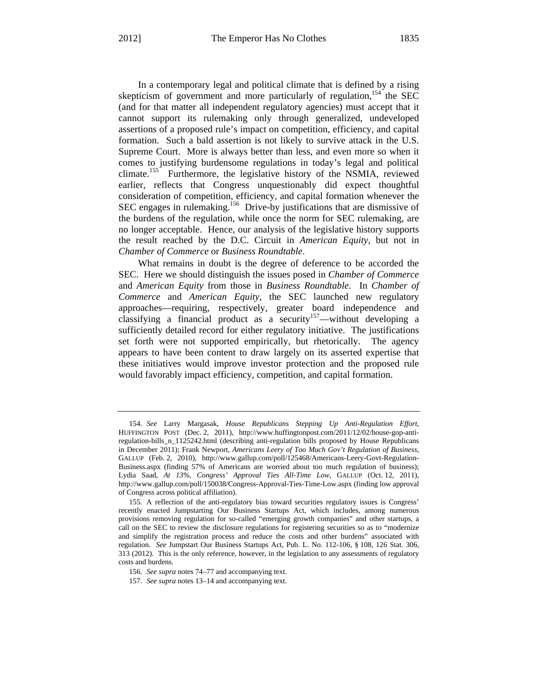In a contemporary legal and political climate that is defined by a rising skepticism of government and more particularly of regulation,  $154$  the SEC (and for that matter all independent regulatory agencies) must accept that it cannot support its rulemaking only through generalized, undeveloped assertions of a proposed rule's impact on competition, efficiency, and capital formation. Such a bald assertion is not likely to survive attack in the U.S. Supreme Court. More is always better than less, and even more so when it comes to justifying burdensome regulations in today's legal and political climate.<sup>155</sup> Furthermore, the legislative history of the NSMIA, reviewed earlier, reflects that Congress unquestionably did expect thoughtful consideration of competition, efficiency, and capital formation whenever the SEC engages in rulemaking.<sup>156</sup> Drive-by justifications that are dismissive of the burdens of the regulation, while once the norm for SEC rulemaking, are no longer acceptable. Hence, our analysis of the legislative history supports the result reached by the D.C. Circuit in *American Equity*, but not in *Chamber of Commerce* or *Business Roundtable*.

What remains in doubt is the degree of deference to be accorded the SEC. Here we should distinguish the issues posed in *Chamber of Commerce* and *American Equity* from those in *Business Roundtable*.In *Chamber of Commerce* and *American Equity*, the SEC launched new regulatory approaches—requiring, respectively, greater board independence and classifying a financial product as a security<sup>157</sup>—without developing a sufficiently detailed record for either regulatory initiative. The justifications set forth were not supported empirically, but rhetorically. The agency appears to have been content to draw largely on its asserted expertise that these initiatives would improve investor protection and the proposed rule would favorably impact efficiency, competition, and capital formation.

<sup>154.</sup> *See* Larry Margasak, *House Republicans Stepping Up Anti-Regulation Effort*, HUFFINGTON POST (Dec. 2, 2011), http://www.huffingtonpost.com/2011/12/02/house-gop-antiregulation-bills\_n\_1125242.html (describing anti-regulation bills proposed by House Republicans in December 2011); Frank Newport, *Americans Leery of Too Much Gov't Regulation of Business*, GALLUP (Feb. 2, 2010), http://www.gallup.com/poll/125468/Americans-Leery-Govt-Regulation-Business.aspx (finding 57% of Americans are worried about too much regulation of business); Lydia Saad, *At 13%, Congress' Approval Ties All-Time Low*, GALLUP (Oct. 12, 2011), http://www.gallup.com/poll/150038/Congress-Approval-Ties-Time-Low.aspx (finding low approval of Congress across political affiliation).

<sup>155.</sup> A reflection of the anti-regulatory bias toward securities regulatory issues is Congress' recently enacted Jumpstarting Our Business Startups Act, which includes, among numerous provisions removing regulation for so-called "emerging growth companies" and other startups, a call on the SEC to review the disclosure regulations for registering securities so as to "modernize and simplify the registration process and reduce the costs and other burdens" associated with regulation. *See* Jumpstart Our Business Startups Act, Pub. L. No. 112-106, § 108, 126 Stat. 306, 313 (2012).This is the only reference, however, in the legislation to any assessments of regulatory costs and burdens.

<sup>156.</sup> *See supra* notes 74–77 and accompanying text.

<sup>157.</sup> *See supra* notes 13–14 and accompanying text.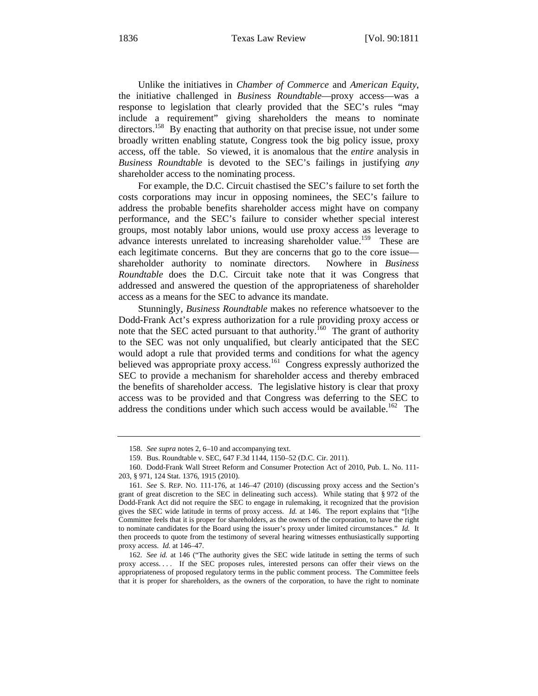Unlike the initiatives in *Chamber of Commerce* and *American Equity*, the initiative challenged in *Business Roundtable*—proxy access—was a response to legislation that clearly provided that the SEC's rules "may include a requirement" giving shareholders the means to nominate directors.<sup>158</sup> By enacting that authority on that precise issue, not under some broadly written enabling statute, Congress took the big policy issue, proxy access, off the table. So viewed, it is anomalous that the *entire* analysis in *Business Roundtable* is devoted to the SEC's failings in justifying *any* shareholder access to the nominating process.

For example, the D.C. Circuit chastised the SEC's failure to set forth the costs corporations may incur in opposing nominees, the SEC's failure to address the probable benefits shareholder access might have on company performance, and the SEC's failure to consider whether special interest groups, most notably labor unions, would use proxy access as leverage to advance interests unrelated to increasing shareholder value.<sup>159</sup> These are each legitimate concerns. But they are concerns that go to the core issue shareholder authority to nominate directors. Nowhere in *Business Roundtable* does the D.C. Circuit take note that it was Congress that addressed and answered the question of the appropriateness of shareholder access as a means for the SEC to advance its mandate.

Stunningly, *Business Roundtable* makes no reference whatsoever to the Dodd-Frank Act's express authorization for a rule providing proxy access or note that the SEC acted pursuant to that authority.<sup>160</sup> The grant of authority to the SEC was not only unqualified, but clearly anticipated that the SEC would adopt a rule that provided terms and conditions for what the agency believed was appropriate proxy access.<sup>161</sup> Congress expressly authorized the SEC to provide a mechanism for shareholder access and thereby embraced the benefits of shareholder access. The legislative history is clear that proxy access was to be provided and that Congress was deferring to the SEC to address the conditions under which such access would be available.<sup>162</sup> The

<sup>158.</sup> *See supra* notes 2, 6–10 and accompanying text.

<sup>159.</sup> Bus. Roundtable v. SEC, 647 F.3d 1144, 1150–52 (D.C. Cir. 2011).

<sup>160.</sup> Dodd-Frank Wall Street Reform and Consumer Protection Act of 2010, Pub. L. No. 111- 203, § 971, 124 Stat. 1376, 1915 (2010).

<sup>161.</sup> *See* S. REP. NO. 111-176, at 146–47 (2010) (discussing proxy access and the Section's grant of great discretion to the SEC in delineating such access). While stating that § 972 of the Dodd-Frank Act did not require the SEC to engage in rulemaking, it recognized that the provision gives the SEC wide latitude in terms of proxy access. *Id.* at 146. The report explains that "[t]he Committee feels that it is proper for shareholders, as the owners of the corporation, to have the right to nominate candidates for the Board using the issuer's proxy under limited circumstances." *Id.* It then proceeds to quote from the testimony of several hearing witnesses enthusiastically supporting proxy access. *Id.* at 146–47.

<sup>162.</sup> *See id.* at 146 ("The authority gives the SEC wide latitude in setting the terms of such proxy access. . . . If the SEC proposes rules, interested persons can offer their views on the appropriateness of proposed regulatory terms in the public comment process. The Committee feels that it is proper for shareholders, as the owners of the corporation, to have the right to nominate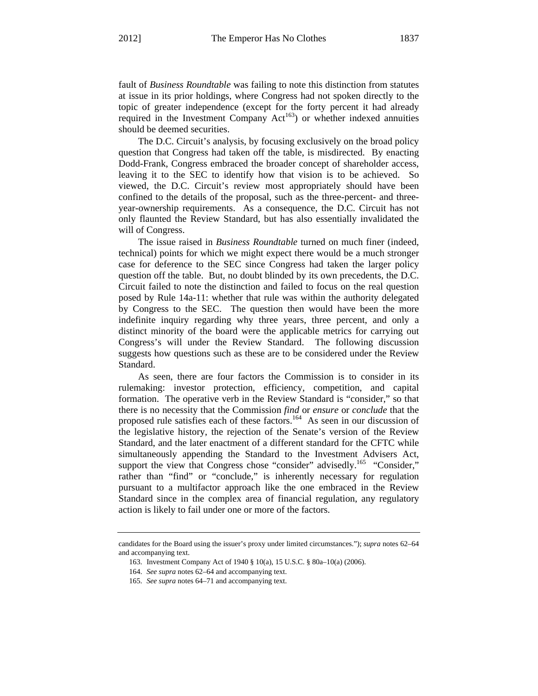fault of *Business Roundtable* was failing to note this distinction from statutes at issue in its prior holdings, where Congress had not spoken directly to the topic of greater independence (except for the forty percent it had already required in the Investment Company  $Act^{163}$  or whether indexed annuities should be deemed securities.

The D.C. Circuit's analysis, by focusing exclusively on the broad policy question that Congress had taken off the table, is misdirected. By enacting Dodd-Frank, Congress embraced the broader concept of shareholder access, leaving it to the SEC to identify how that vision is to be achieved. So viewed, the D.C. Circuit's review most appropriately should have been confined to the details of the proposal, such as the three-percent- and threeyear-ownership requirements. As a consequence, the D.C. Circuit has not only flaunted the Review Standard, but has also essentially invalidated the will of Congress.

The issue raised in *Business Roundtable* turned on much finer (indeed, technical) points for which we might expect there would be a much stronger case for deference to the SEC since Congress had taken the larger policy question off the table. But, no doubt blinded by its own precedents, the D.C. Circuit failed to note the distinction and failed to focus on the real question posed by Rule 14a-11: whether that rule was within the authority delegated by Congress to the SEC. The question then would have been the more indefinite inquiry regarding why three years, three percent, and only a distinct minority of the board were the applicable metrics for carrying out Congress's will under the Review Standard. The following discussion suggests how questions such as these are to be considered under the Review Standard.

As seen, there are four factors the Commission is to consider in its rulemaking: investor protection, efficiency, competition, and capital formation. The operative verb in the Review Standard is "consider," so that there is no necessity that the Commission *find* or *ensure* or *conclude* that the proposed rule satisfies each of these factors.<sup>164</sup> As seen in our discussion of the legislative history, the rejection of the Senate's version of the Review Standard, and the later enactment of a different standard for the CFTC while simultaneously appending the Standard to the Investment Advisers Act, support the view that Congress chose "consider" advisedly.<sup>165</sup> "Consider," rather than "find" or "conclude," is inherently necessary for regulation pursuant to a multifactor approach like the one embraced in the Review Standard since in the complex area of financial regulation, any regulatory action is likely to fail under one or more of the factors.

candidates for the Board using the issuer's proxy under limited circumstances."); *supra* notes 62–64 and accompanying text.

<sup>163.</sup> Investment Company Act of 1940 § 10(a), 15 U.S.C. § 80a–10(a) (2006).

<sup>164.</sup> *See supra* notes 62–64 and accompanying text.

<sup>165.</sup> *See supra* notes 64–71 and accompanying text.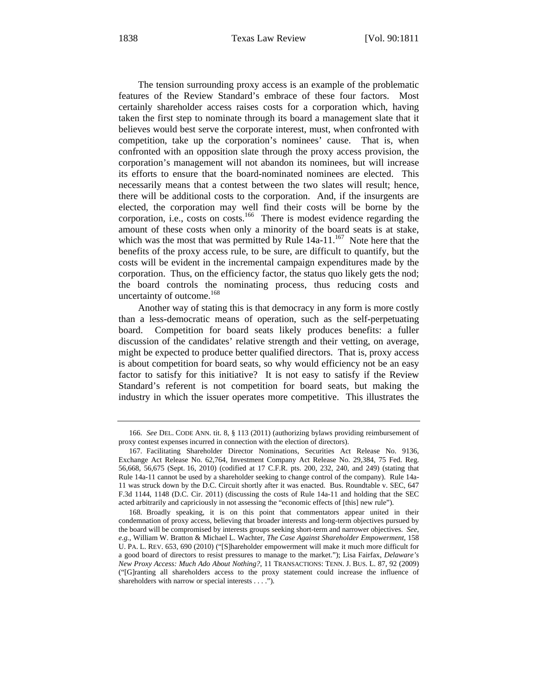The tension surrounding proxy access is an example of the problematic features of the Review Standard's embrace of these four factors. Most certainly shareholder access raises costs for a corporation which, having taken the first step to nominate through its board a management slate that it believes would best serve the corporate interest, must, when confronted with competition, take up the corporation's nominees' cause. That is, when confronted with an opposition slate through the proxy access provision, the corporation's management will not abandon its nominees, but will increase its efforts to ensure that the board-nominated nominees are elected. This necessarily means that a contest between the two slates will result; hence, there will be additional costs to the corporation. And, if the insurgents are elected, the corporation may well find their costs will be borne by the corporation, i.e., costs on costs.<sup>166</sup> There is modest evidence regarding the amount of these costs when only a minority of the board seats is at stake, which was the most that was permitted by Rule  $14a-11$ <sup>167</sup>. Note here that the benefits of the proxy access rule, to be sure, are difficult to quantify, but the costs will be evident in the incremental campaign expenditures made by the corporation. Thus, on the efficiency factor, the status quo likely gets the nod; the board controls the nominating process, thus reducing costs and uncertainty of outcome.<sup>168</sup>

Another way of stating this is that democracy in any form is more costly than a less-democratic means of operation, such as the self-perpetuating board. Competition for board seats likely produces benefits: a fuller discussion of the candidates' relative strength and their vetting, on average, might be expected to produce better qualified directors. That is, proxy access is about competition for board seats, so why would efficiency not be an easy factor to satisfy for this initiative? It is not easy to satisfy if the Review Standard's referent is not competition for board seats, but making the industry in which the issuer operates more competitive. This illustrates the

<sup>166.</sup> *See* DEL. CODE ANN. tit. 8, § 113 (2011) (authorizing bylaws providing reimbursement of proxy contest expenses incurred in connection with the election of directors).

<sup>167.</sup> Facilitating Shareholder Director Nominations, Securities Act Release No. 9136, Exchange Act Release No. 62,764, Investment Company Act Release No. 29,384, 75 Fed. Reg. 56,668, 56,675 (Sept. 16, 2010) (codified at 17 C.F.R. pts. 200, 232, 240, and 249) (stating that Rule 14a-11 cannot be used by a shareholder seeking to change control of the company). Rule 14a-11 was struck down by the D.C. Circuit shortly after it was enacted. Bus. Roundtable v. SEC, 647 F.3d 1144, 1148 (D.C. Cir. 2011) (discussing the costs of Rule 14a-11 and holding that the SEC acted arbitrarily and capriciously in not assessing the "economic effects of [this] new rule").

<sup>168.</sup> Broadly speaking, it is on this point that commentators appear united in their condemnation of proxy access, believing that broader interests and long-term objectives pursued by the board will be compromised by interests groups seeking short-term and narrower objectives. *See, e.g.*, William W. Bratton & Michael L. Wachter, *The Case Against Shareholder Empowerment*, 158 U. PA. L. REV. 653, 690 (2010) ("[S]hareholder empowerment will make it much more difficult for a good board of directors to resist pressures to manage to the market."); Lisa Fairfax, *Delaware's New Proxy Access: Much Ado About Nothing?*, 11 TRANSACTIONS: TENN. J. BUS. L. 87, 92 (2009) ("[G]ranting all shareholders access to the proxy statement could increase the influence of shareholders with narrow or special interests . . . .").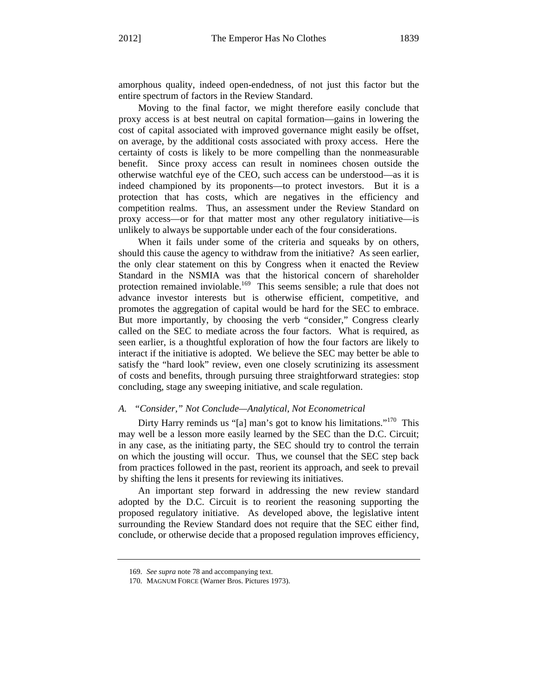amorphous quality, indeed open-endedness, of not just this factor but the entire spectrum of factors in the Review Standard.

Moving to the final factor, we might therefore easily conclude that proxy access is at best neutral on capital formation—gains in lowering the cost of capital associated with improved governance might easily be offset, on average, by the additional costs associated with proxy access. Here the certainty of costs is likely to be more compelling than the nonmeasurable benefit. Since proxy access can result in nominees chosen outside the otherwise watchful eye of the CEO, such access can be understood—as it is indeed championed by its proponents—to protect investors. But it is a protection that has costs, which are negatives in the efficiency and competition realms. Thus, an assessment under the Review Standard on proxy access—or for that matter most any other regulatory initiative—is unlikely to always be supportable under each of the four considerations.

When it fails under some of the criteria and squeaks by on others, should this cause the agency to withdraw from the initiative? As seen earlier, the only clear statement on this by Congress when it enacted the Review Standard in the NSMIA was that the historical concern of shareholder protection remained inviolable.<sup>169</sup> This seems sensible; a rule that does not advance investor interests but is otherwise efficient, competitive, and promotes the aggregation of capital would be hard for the SEC to embrace. But more importantly, by choosing the verb "consider," Congress clearly called on the SEC to mediate across the four factors. What is required, as seen earlier, is a thoughtful exploration of how the four factors are likely to interact if the initiative is adopted. We believe the SEC may better be able to satisfy the "hard look" review, even one closely scrutinizing its assessment of costs and benefits, through pursuing three straightforward strategies: stop concluding, stage any sweeping initiative, and scale regulation.

# *A. "Consider," Not Conclude—Analytical, Not Econometrical*

Dirty Harry reminds us "[a] man's got to know his limitations."<sup>170</sup> This may well be a lesson more easily learned by the SEC than the D.C. Circuit; in any case, as the initiating party, the SEC should try to control the terrain on which the jousting will occur. Thus, we counsel that the SEC step back from practices followed in the past, reorient its approach, and seek to prevail by shifting the lens it presents for reviewing its initiatives.

An important step forward in addressing the new review standard adopted by the D.C. Circuit is to reorient the reasoning supporting the proposed regulatory initiative. As developed above, the legislative intent surrounding the Review Standard does not require that the SEC either find, conclude, or otherwise decide that a proposed regulation improves efficiency,

<sup>169.</sup> *See supra* note 78 and accompanying text.

<sup>170.</sup> MAGNUM FORCE (Warner Bros. Pictures 1973).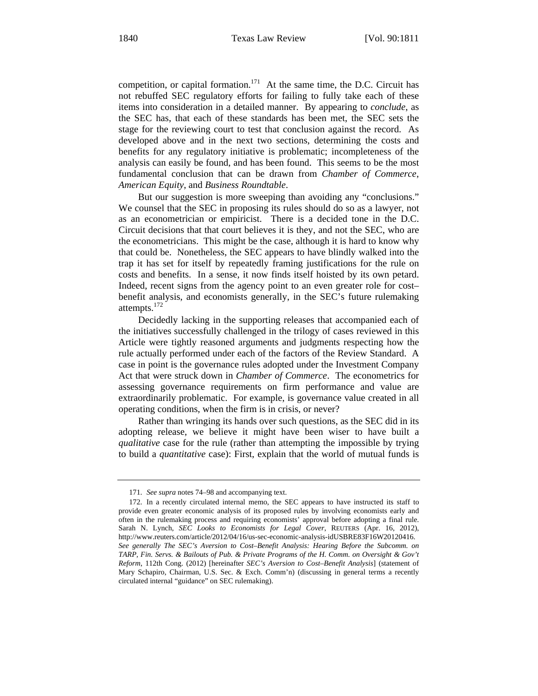competition, or capital formation.<sup>171</sup> At the same time, the D.C. Circuit has not rebuffed SEC regulatory efforts for failing to fully take each of these items into consideration in a detailed manner. By appearing to *conclude*, as the SEC has, that each of these standards has been met, the SEC sets the stage for the reviewing court to test that conclusion against the record. As developed above and in the next two sections, determining the costs and benefits for any regulatory initiative is problematic; incompleteness of the analysis can easily be found, and has been found. This seems to be the most fundamental conclusion that can be drawn from *Chamber of Commerce*, *American Equity*, and *Business Roundtable*.

But our suggestion is more sweeping than avoiding any "conclusions." We counsel that the SEC in proposing its rules should do so as a lawyer, not as an econometrician or empiricist. There is a decided tone in the D.C. Circuit decisions that that court believes it is they, and not the SEC, who are the econometricians. This might be the case, although it is hard to know why that could be. Nonetheless, the SEC appears to have blindly walked into the trap it has set for itself by repeatedly framing justifications for the rule on costs and benefits. In a sense, it now finds itself hoisted by its own petard. Indeed, recent signs from the agency point to an even greater role for cost– benefit analysis, and economists generally, in the SEC's future rulemaking attempts.<sup>172</sup>

Decidedly lacking in the supporting releases that accompanied each of the initiatives successfully challenged in the trilogy of cases reviewed in this Article were tightly reasoned arguments and judgments respecting how the rule actually performed under each of the factors of the Review Standard. A case in point is the governance rules adopted under the Investment Company Act that were struck down in *Chamber of Commerce*. The econometrics for assessing governance requirements on firm performance and value are extraordinarily problematic. For example, is governance value created in all operating conditions, when the firm is in crisis, or never?

Rather than wringing its hands over such questions, as the SEC did in its adopting release, we believe it might have been wiser to have built a *qualitative* case for the rule (rather than attempting the impossible by trying to build a *quantitative* case): First, explain that the world of mutual funds is

<sup>171.</sup> *See supra* notes 74–98 and accompanying text.

<sup>172.</sup> In a recently circulated internal memo, the SEC appears to have instructed its staff to provide even greater economic analysis of its proposed rules by involving economists early and often in the rulemaking process and requiring economists' approval before adopting a final rule. Sarah N. Lynch, *SEC Looks to Economists for Legal Cover*, REUTERS (Apr. 16, 2012), http://www.reuters.com/article/2012/04/16/us-sec-economic-analysis-idUSBRE83F16W20120416. *See generally The SEC's Aversion to Cost–Benefit Analysis: Hearing Before the Subcomm. on TARP, Fin. Servs. & Bailouts of Pub. & Private Programs of the H. Comm. on Oversight & Gov't Reform*, 112th Cong. (2012) [hereinafter *SEC's Aversion to Cost–Benefit Analysis*] (statement of Mary Schapiro, Chairman, U.S. Sec. & Exch. Comm'n) (discussing in general terms a recently circulated internal "guidance" on SEC rulemaking).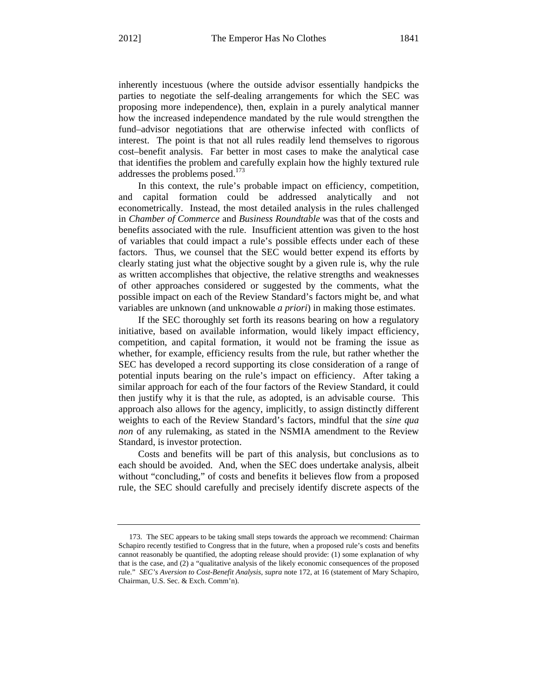inherently incestuous (where the outside advisor essentially handpicks the parties to negotiate the self-dealing arrangements for which the SEC was proposing more independence), then, explain in a purely analytical manner how the increased independence mandated by the rule would strengthen the fund–advisor negotiations that are otherwise infected with conflicts of interest. The point is that not all rules readily lend themselves to rigorous cost–benefit analysis. Far better in most cases to make the analytical case that identifies the problem and carefully explain how the highly textured rule addresses the problems posed.<sup>173</sup>

In this context, the rule's probable impact on efficiency, competition, and capital formation could be addressed analytically and not econometrically. Instead, the most detailed analysis in the rules challenged in *Chamber of Commerce* and *Business Roundtable* was that of the costs and benefits associated with the rule. Insufficient attention was given to the host of variables that could impact a rule's possible effects under each of these factors. Thus, we counsel that the SEC would better expend its efforts by clearly stating just what the objective sought by a given rule is, why the rule as written accomplishes that objective, the relative strengths and weaknesses of other approaches considered or suggested by the comments, what the possible impact on each of the Review Standard's factors might be, and what variables are unknown (and unknowable *a priori*) in making those estimates.

If the SEC thoroughly set forth its reasons bearing on how a regulatory initiative, based on available information, would likely impact efficiency, competition, and capital formation, it would not be framing the issue as whether, for example, efficiency results from the rule, but rather whether the SEC has developed a record supporting its close consideration of a range of potential inputs bearing on the rule's impact on efficiency. After taking a similar approach for each of the four factors of the Review Standard, it could then justify why it is that the rule, as adopted, is an advisable course. This approach also allows for the agency, implicitly, to assign distinctly different weights to each of the Review Standard's factors, mindful that the *sine qua non* of any rulemaking, as stated in the NSMIA amendment to the Review Standard, is investor protection.

Costs and benefits will be part of this analysis, but conclusions as to each should be avoided. And, when the SEC does undertake analysis, albeit without "concluding," of costs and benefits it believes flow from a proposed rule, the SEC should carefully and precisely identify discrete aspects of the

<sup>173.</sup> The SEC appears to be taking small steps towards the approach we recommend: Chairman Schapiro recently testified to Congress that in the future, when a proposed rule's costs and benefits cannot reasonably be quantified, the adopting release should provide: (1) some explanation of why that is the case, and (2) a "qualitative analysis of the likely economic consequences of the proposed rule." *SEC's Aversion to Cost-Benefit Analysis*, *supra* note 172, at 16 (statement of Mary Schapiro, Chairman, U.S. Sec. & Exch. Comm'n).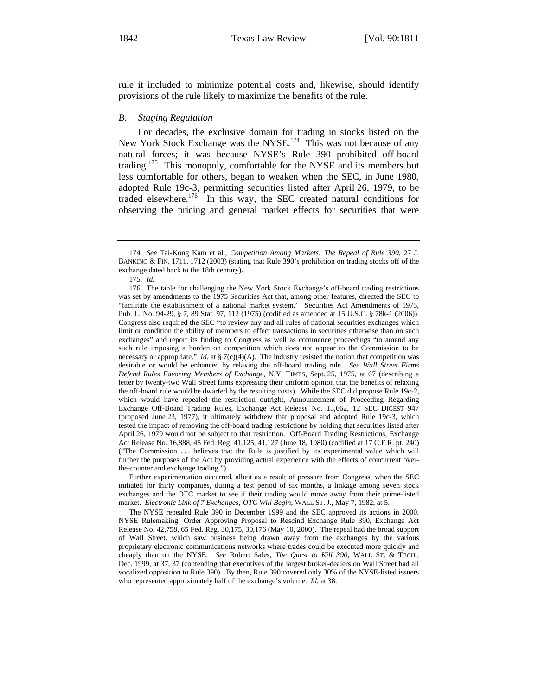rule it included to minimize potential costs and, likewise, should identify provisions of the rule likely to maximize the benefits of the rule.

#### *B. Staging Regulation*

For decades, the exclusive domain for trading in stocks listed on the New York Stock Exchange was the NYSE.<sup>174</sup> This was not because of any natural forces; it was because NYSE's Rule 390 prohibited off-board trading.<sup>175</sup> This monopoly, comfortable for the NYSE and its members but less comfortable for others, began to weaken when the SEC, in June 1980, adopted Rule 19c-3, permitting securities listed after April 26, 1979, to be traded elsewhere.<sup>176</sup> In this way, the SEC created natural conditions for observing the pricing and general market effects for securities that were

 Further experimentation occurred, albeit as a result of pressure from Congress, when the SEC initiated for thirty companies, during a test period of six months, a linkage among seven stock exchanges and the OTC market to see if their trading would move away from their prime-listed market. *Electronic Link of 7 Exchanges; OTC Will Begin*, WALL ST. J., May 7, 1982, at 5.

 The NYSE repealed Rule 390 in December 1999 and the SEC approved its actions in 2000. NYSE Rulemaking: Order Approving Proposal to Rescind Exchange Rule 390, Exchange Act Release No. 42,758, 65 Fed. Reg. 30,175, 30,176 (May 10, 2000). The repeal had the broad support of Wall Street, which saw business being drawn away from the exchanges by the various proprietary electronic communications networks where trades could be executed more quickly and cheaply than on the NYSE. *See* Robert Sales, *The Quest to Kill 390*, WALL ST. & TECH., Dec. 1999, at 37, 37 (contending that executives of the largest broker-dealers on Wall Street had all vocalized opposition to Rule 390). By then, Rule 390 covered only 30% of the NYSE-listed issuers who represented approximately half of the exchange's volume. *Id.* at 38.

<sup>174.</sup> *See* Tai-Kong Kam et al., *Competition Among Markets: The Repeal of Rule 390*, 27 J. BANKING & FIN. 1711, 1712 (2003) (stating that Rule 390's prohibition on trading stocks off of the exchange dated back to the 18th century).

<sup>175.</sup> *Id.*

<sup>176.</sup> The table for challenging the New York Stock Exchange's off-board trading restrictions was set by amendments to the 1975 Securities Act that, among other features, directed the SEC to "facilitate the establishment of a national market system." Securities Act Amendments of 1975, Pub. L. No. 94-29, § 7, 89 Stat. 97, 112 (1975) (codified as amended at 15 U.S.C. § 78k-1 (2006)). Congress also required the SEC "to review any and all rules of national securities exchanges which limit or condition the ability of members to effect transactions in securities otherwise than on such exchanges" and report its finding to Congress as well as commence proceedings "to amend any such rule imposing a burden on competition which does not appear to the Commission to be necessary or appropriate." *Id.* at § 7(c)(4)(A). The industry resisted the notion that competition was desirable or would be enhanced by relaxing the off-board trading rule. *See Wall Street Firms Defend Rules Favoring Members of Exchange*, N.Y. TIMES, Sept. 25, 1975, at 67 (describing a letter by twenty-two Wall Street firms expressing their uniform opinion that the benefits of relaxing the off-board rule would be dwarfed by the resulting costs). While the SEC did propose Rule 19c-2, which would have repealed the restriction outright, Announcement of Proceeding Regarding Exchange Off-Board Trading Rules, Exchange Act Release No. 13,662, 12 SEC DIGEST 947 (proposed June 23, 1977), it ultimately withdrew that proposal and adopted Rule 19c-3, which tested the impact of removing the off-board trading restrictions by holding that securities listed after April 26, 1979 would not be subject to that restriction. Off-Board Trading Restrictions, Exchange Act Release No. 16,888, 45 Fed. Reg. 41,125, 41,127 (June 18, 1980) (codified at 17 C.F.R. pt. 240) ("The Commission . . . believes that the Rule is justified by its experimental value which will further the purposes of the Act by providing actual experience with the effects of concurrent overthe-counter and exchange trading.").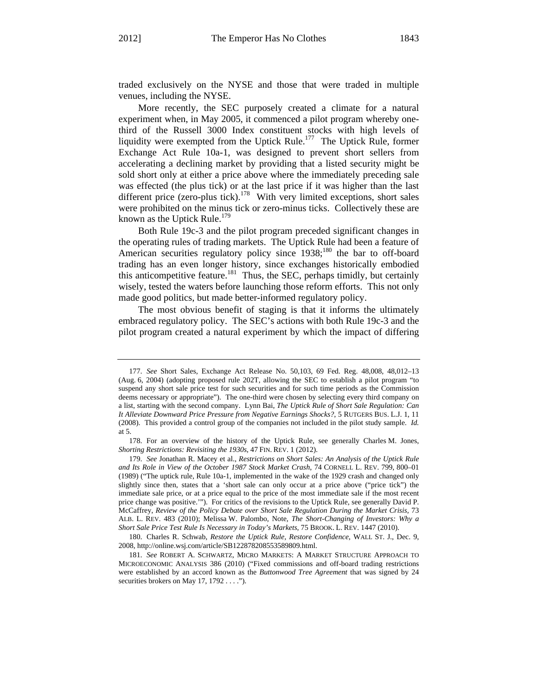traded exclusively on the NYSE and those that were traded in multiple venues, including the NYSE.

More recently, the SEC purposely created a climate for a natural experiment when, in May 2005, it commenced a pilot program whereby onethird of the Russell 3000 Index constituent stocks with high levels of liquidity were exempted from the Uptick Rule.<sup>177</sup> The Uptick Rule, former Exchange Act Rule 10a-1, was designed to prevent short sellers from accelerating a declining market by providing that a listed security might be sold short only at either a price above where the immediately preceding sale was effected (the plus tick) or at the last price if it was higher than the last different price (zero-plus tick).<sup>178</sup> With very limited exceptions, short sales were prohibited on the minus tick or zero-minus ticks. Collectively these are known as the Uptick Rule.<sup>179</sup>

Both Rule 19c-3 and the pilot program preceded significant changes in the operating rules of trading markets. The Uptick Rule had been a feature of American securities regulatory policy since 1938;<sup>180</sup> the bar to off-board trading has an even longer history, since exchanges historically embodied this anticompetitive feature.<sup>181</sup> Thus, the SEC, perhaps timidly, but certainly wisely, tested the waters before launching those reform efforts. This not only made good politics, but made better-informed regulatory policy.

The most obvious benefit of staging is that it informs the ultimately embraced regulatory policy. The SEC's actions with both Rule 19c-3 and the pilot program created a natural experiment by which the impact of differing

<sup>177.</sup> *See* Short Sales, Exchange Act Release No. 50,103, 69 Fed. Reg. 48,008, 48,012–13 (Aug. 6, 2004) (adopting proposed rule 202T, allowing the SEC to establish a pilot program "to suspend any short sale price test for such securities and for such time periods as the Commission deems necessary or appropriate"). The one-third were chosen by selecting every third company on a list, starting with the second company. Lynn Bai, *The Uptick Rule of Short Sale Regulation: Can It Alleviate Downward Price Pressure from Negative Earnings Shocks?*, 5 RUTGERS BUS. L.J. 1, 11 (2008). This provided a control group of the companies not included in the pilot study sample. *Id.*  at 5.

<sup>178.</sup> For an overview of the history of the Uptick Rule, see generally Charles M. Jones, *Shorting Restrictions: Revisiting the 1930s*, 47 FIN. REV. 1 (2012).

<sup>179.</sup> *See* Jonathan R. Macey et al., *Restrictions on Short Sales: An Analysis of the Uptick Rule and Its Role in View of the October 1987 Stock Market Crash*, 74 CORNELL L. REV. 799, 800–01 (1989) ("The uptick rule, Rule 10a-1, implemented in the wake of the 1929 crash and changed only slightly since then, states that a 'short sale can only occur at a price above ("price tick") the immediate sale price, or at a price equal to the price of the most immediate sale if the most recent price change was positive.'"). For critics of the revisions to the Uptick Rule, see generally David P. McCaffrey, *Review of the Policy Debate over Short Sale Regulation During the Market Crisis*, 73 ALB. L. REV. 483 (2010); Melissa W. Palombo, Note, *The Short-Changing of Investors: Why a Short Sale Price Test Rule Is Necessary in Today's Markets*, 75 BROOK. L. REV. 1447 (2010).

<sup>180.</sup> Charles R. Schwab, *Restore the Uptick Rule, Restore Confidence*, WALL ST. J., Dec. 9, 2008, http://online.wsj.com/article/SB122878208553589809.html.

<sup>181.</sup> *See* ROBERT A. SCHWARTZ, MICRO MARKETS: A MARKET STRUCTURE APPROACH TO MICROECONOMIC ANALYSIS 386 (2010) ("Fixed commissions and off-board trading restrictions were established by an accord known as the *Buttonwood Tree Agreement* that was signed by 24 securities brokers on May 17, 1792 . . . .").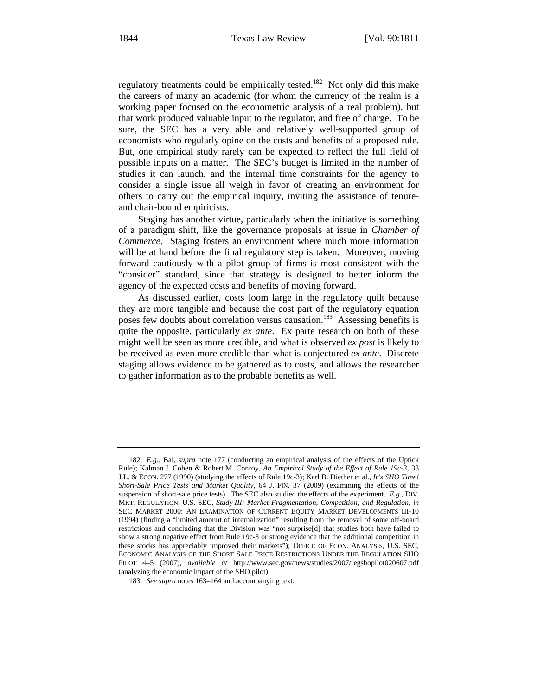regulatory treatments could be empirically tested.<sup>182</sup> Not only did this make the careers of many an academic (for whom the currency of the realm is a working paper focused on the econometric analysis of a real problem), but that work produced valuable input to the regulator, and free of charge. To be sure, the SEC has a very able and relatively well-supported group of economists who regularly opine on the costs and benefits of a proposed rule. But, one empirical study rarely can be expected to reflect the full field of possible inputs on a matter. The SEC's budget is limited in the number of studies it can launch, and the internal time constraints for the agency to consider a single issue all weigh in favor of creating an environment for others to carry out the empirical inquiry, inviting the assistance of tenureand chair-bound empiricists.

Staging has another virtue, particularly when the initiative is something of a paradigm shift, like the governance proposals at issue in *Chamber of Commerce*. Staging fosters an environment where much more information will be at hand before the final regulatory step is taken. Moreover, moving forward cautiously with a pilot group of firms is most consistent with the "consider" standard, since that strategy is designed to better inform the agency of the expected costs and benefits of moving forward.

As discussed earlier, costs loom large in the regulatory quilt because they are more tangible and because the cost part of the regulatory equation poses few doubts about correlation versus causation.<sup>183</sup> Assessing benefits is quite the opposite, particularly *ex ante*. Ex parte research on both of these might well be seen as more credible, and what is observed *ex post* is likely to be received as even more credible than what is conjectured *ex ante*. Discrete staging allows evidence to be gathered as to costs, and allows the researcher to gather information as to the probable benefits as well.

<sup>182.</sup> *E.g.*, Bai, *supra* note 177 (conducting an empirical analysis of the effects of the Uptick Rule); Kalman J. Cohen & Robert M. Conroy, *An Empirical Study of the Effect of Rule 19c-3*, 33 J.L. & ECON. 277 (1990) (studying the effects of Rule 19c-3); Karl B. Diether et al., *It's SHO Time! Short-Sale Price Tests and Market Quality*, 64 J. FIN. 37 (2009) (examining the effects of the suspension of short-sale price tests). The SEC also studied the effects of the experiment. *E.g.*, DIV. MKT. REGULATION, U.S. SEC, *Study III: Market Fragmentation, Competition, and Regulation*, *in* SEC MARKET 2000: AN EXAMINATION OF CURRENT EQUITY MARKET DEVELOPMENTS III-10 (1994) (finding a "limited amount of internalization" resulting from the removal of some off-board restrictions and concluding that the Division was "not surprise[d] that studies both have failed to show a strong negative effect from Rule 19c-3 or strong evidence that the additional competition in these stocks has appreciably improved their markets"); OFFICE OF ECON. ANALYSIS, U.S. SEC, ECONOMIC ANALYSIS OF THE SHORT SALE PRICE RESTRICTIONS UNDER THE REGULATION SHO PILOT 4–5 (2007), *available at* http://www.sec.gov/news/studies/2007/regshopilot020607.pdf (analyzing the economic impact of the SHO pilot).

<sup>183.</sup> *See supra* notes 163–164 and accompanying text.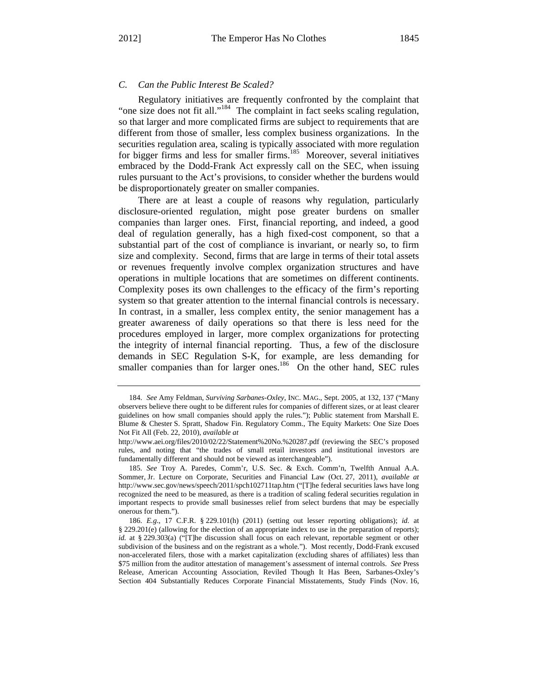# *C. Can the Public Interest Be Scaled?*

Regulatory initiatives are frequently confronted by the complaint that "one size does not fit all."<sup>184</sup> The complaint in fact seeks scaling regulation, so that larger and more complicated firms are subject to requirements that are different from those of smaller, less complex business organizations. In the securities regulation area, scaling is typically associated with more regulation for bigger firms and less for smaller firms.<sup>185</sup> Moreover, several initiatives embraced by the Dodd-Frank Act expressly call on the SEC, when issuing rules pursuant to the Act's provisions, to consider whether the burdens would be disproportionately greater on smaller companies.

There are at least a couple of reasons why regulation, particularly disclosure-oriented regulation, might pose greater burdens on smaller companies than larger ones. First, financial reporting, and indeed, a good deal of regulation generally, has a high fixed-cost component, so that a substantial part of the cost of compliance is invariant, or nearly so, to firm size and complexity. Second, firms that are large in terms of their total assets or revenues frequently involve complex organization structures and have operations in multiple locations that are sometimes on different continents. Complexity poses its own challenges to the efficacy of the firm's reporting system so that greater attention to the internal financial controls is necessary. In contrast, in a smaller, less complex entity, the senior management has a greater awareness of daily operations so that there is less need for the procedures employed in larger, more complex organizations for protecting the integrity of internal financial reporting. Thus, a few of the disclosure demands in SEC Regulation S-K, for example, are less demanding for smaller companies than for larger ones.<sup>186</sup> On the other hand, SEC rules

<sup>184.</sup> *See* Amy Feldman, *Surviving Sarbanes-Oxley*, INC. MAG., Sept. 2005, at 132, 137 ("Many observers believe there ought to be different rules for companies of different sizes, or at least clearer guidelines on how small companies should apply the rules."); Public statement from Marshall E. Blume & Chester S. Spratt, Shadow Fin. Regulatory Comm., The Equity Markets: One Size Does Not Fit All (Feb. 22, 2010), *available at* 

http://www.aei.org/files/2010/02/22/Statement%20No.%20287.pdf (reviewing the SEC's proposed rules, and noting that "the trades of small retail investors and institutional investors are fundamentally different and should not be viewed as interchangeable").

<sup>185.</sup> *See* Troy A. Paredes, Comm'r, U.S. Sec. & Exch. Comm'n, Twelfth Annual A.A. Sommer, Jr. Lecture on Corporate, Securities and Financial Law (Oct. 27, 2011), *available at* http://www.sec.gov/news/speech/2011/spch102711tap.htm ("[T]he federal securities laws have long recognized the need to be measured, as there is a tradition of scaling federal securities regulation in important respects to provide small businesses relief from select burdens that may be especially onerous for them.").

<sup>186.</sup> *E.g*., 17 C.F.R. § 229.101(h) (2011) (setting out lesser reporting obligations); *id.* at § 229.201(e) (allowing for the election of an appropriate index to use in the preparation of reports); *id.* at § 229.303(a) ("[T]he discussion shall focus on each relevant, reportable segment or other subdivision of the business and on the registrant as a whole."). Most recently, Dodd-Frank excused non-accelerated filers, those with a market capitalization (excluding shares of affiliates) less than \$75 million from the auditor attestation of management's assessment of internal controls. *See* Press Release, American Accounting Association, Reviled Though It Has Been, Sarbanes-Oxley's Section 404 Substantially Reduces Corporate Financial Misstatements, Study Finds (Nov. 16,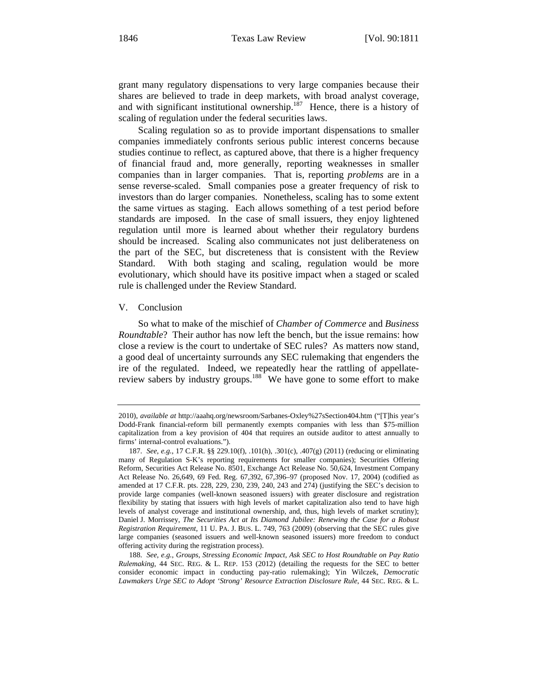grant many regulatory dispensations to very large companies because their shares are believed to trade in deep markets, with broad analyst coverage, and with significant institutional ownership.<sup>187</sup> Hence, there is a history of scaling of regulation under the federal securities laws.

Scaling regulation so as to provide important dispensations to smaller companies immediately confronts serious public interest concerns because studies continue to reflect, as captured above, that there is a higher frequency of financial fraud and, more generally, reporting weaknesses in smaller companies than in larger companies. That is, reporting *problems* are in a sense reverse-scaled. Small companies pose a greater frequency of risk to investors than do larger companies. Nonetheless, scaling has to some extent the same virtues as staging. Each allows something of a test period before standards are imposed. In the case of small issuers, they enjoy lightened regulation until more is learned about whether their regulatory burdens should be increased. Scaling also communicates not just deliberateness on the part of the SEC, but discreteness that is consistent with the Review Standard. With both staging and scaling, regulation would be more evolutionary, which should have its positive impact when a staged or scaled rule is challenged under the Review Standard.

## V. Conclusion

So what to make of the mischief of *Chamber of Commerce* and *Business Roundtable*? Their author has now left the bench, but the issue remains: how close a review is the court to undertake of SEC rules? As matters now stand, a good deal of uncertainty surrounds any SEC rulemaking that engenders the ire of the regulated. Indeed, we repeatedly hear the rattling of appellatereview sabers by industry groups.<sup>188</sup> We have gone to some effort to make

<sup>2010),</sup> *available at* http://aaahq.org/newsroom/Sarbanes-Oxley%27sSection404.htm ("[T]his year's Dodd-Frank financial-reform bill permanently exempts companies with less than \$75-million capitalization from a key provision of 404 that requires an outside auditor to attest annually to firms' internal-control evaluations.").

<sup>187.</sup> *See, e.g.*, 17 C.F.R. §§ 229.10(f), .101(h), .301(c), .407(g) (2011) (reducing or eliminating many of Regulation S-K's reporting requirements for smaller companies); Securities Offering Reform, Securities Act Release No. 8501, Exchange Act Release No. 50,624, Investment Company Act Release No. 26,649, 69 Fed. Reg. 67,392, 67,396–97 (proposed Nov. 17, 2004) (codified as amended at 17 C.F.R. pts. 228, 229, 230, 239, 240, 243 and 274) (justifying the SEC's decision to provide large companies (well-known seasoned issuers) with greater disclosure and registration flexibility by stating that issuers with high levels of market capitalization also tend to have high levels of analyst coverage and institutional ownership, and, thus, high levels of market scrutiny); Daniel J. Morrissey, *The Securities Act at Its Diamond Jubilee: Renewing the Case for a Robust Registration Requirement*, 11 U. PA. J. BUS. L. 749, 763 (2009) (observing that the SEC rules give large companies (seasoned issuers and well-known seasoned issuers) more freedom to conduct offering activity during the registration process).

<sup>188.</sup> *See, e.g.*, *Groups, Stressing Economic Impact, Ask SEC to Host Roundtable on Pay Ratio Rulemaking*, 44 SEC. REG. & L. REP. 153 (2012) (detailing the requests for the SEC to better consider economic impact in conducting pay-ratio rulemaking); Yin Wilczek, *Democratic Lawmakers Urge SEC to Adopt 'Strong' Resource Extraction Disclosure Rule*, 44 SEC. REG. & L.